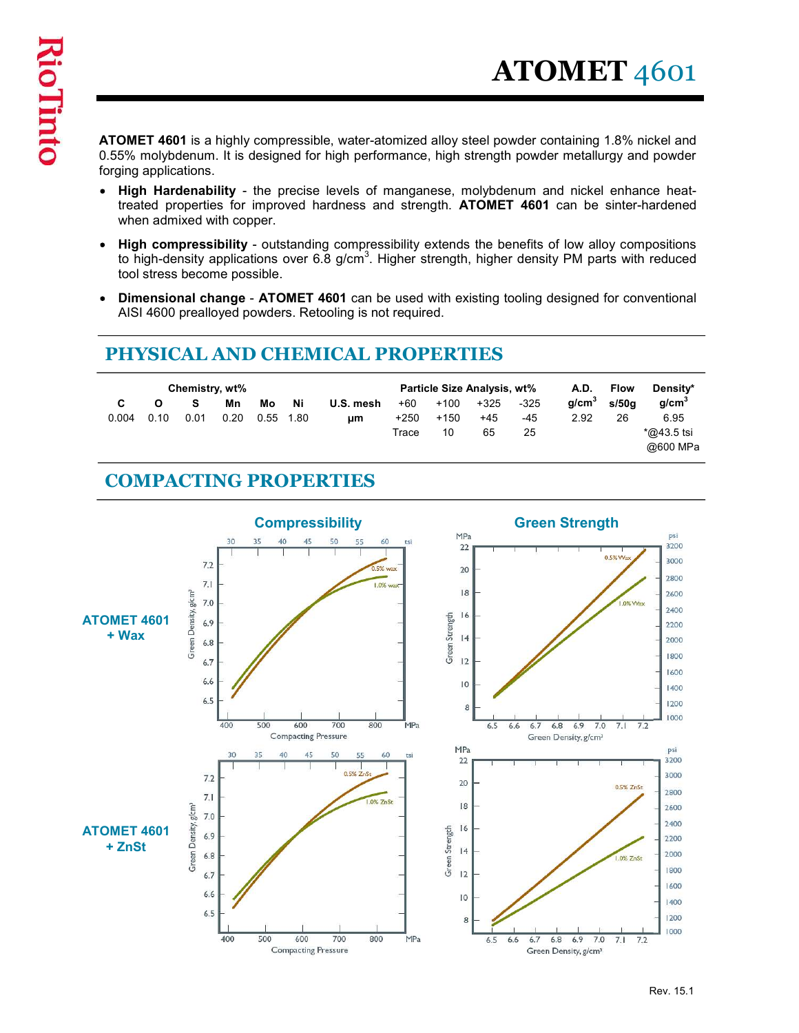**ATOMET 4601** is a highly compressible, water-atomized alloy steel powder containing 1.8% nickel and<br>0.55% molybdenum. It is designed for high performance, high strength powder metallurgy and powder<br>• High Hardenability - 0.55% molybdenum. It is designed for high performance, high strength powder metallurgy and powder forging applications.

- **ATOMET** 4601<br>S% molybdenum. It is designed for high performance, high strength powder containing 1.8% nickel and<br>high Hardenability the precise levels of manganese, molybdenum and nickel enhance heat-<br>High Hardenabilit treated properties for improved hardness and strength. ATOMET 4601 can be sinter-hardened when admixed with copper. **ATOMET** 4601<br>S<sup>56</sup> molybdenum. It is designed for high performance, high strength powder containing 1.8% nickel and<br> $5\%$  molybdenum. It is designed for high performance, high strength powder metallurgy and powder<br>High H
- to high-density applications over 6.8 g/cm<sup>3</sup>. Higher strength, higher density PM parts with reduced tool stress become possible.
- Dimensional change ATOMET 4601 can be used with existing tooling designed for conventional AISI 4600 prealloyed powders. Retooling is not required.

|                                                                                                                                                                                                                                              |                                                                                              | <b>ATOMET 4601</b>                                                                  |  |
|----------------------------------------------------------------------------------------------------------------------------------------------------------------------------------------------------------------------------------------------|----------------------------------------------------------------------------------------------|-------------------------------------------------------------------------------------|--|
|                                                                                                                                                                                                                                              |                                                                                              |                                                                                     |  |
| <b>ATOMET 4601</b> is a highly compressible, water-atomized alloy steel powder containing 1.8% nickel and<br>0.55% molybdenum. It is designed for high performance, high strength powder metallurgy and powder<br>forging applications.      |                                                                                              |                                                                                     |  |
| • High Hardenability - the precise levels of manganese, molybdenum and nickel enhance heat-<br>treated properties for improved hardness and strength. ATOMET 4601 can be sinter-hardened<br>when admixed with copper.                        |                                                                                              |                                                                                     |  |
| • High compressibility - outstanding compressibility extends the benefits of low alloy compositions<br>to high-density applications over 6.8 $g/cm3$ . Higher strength, higher density PM parts with reduced<br>tool stress become possible. |                                                                                              |                                                                                     |  |
| Dimensional change - ATOMET 4601 can be used with existing tooling designed for conventional<br>AISI 4600 prealloyed powders. Retooling is not required.                                                                                     |                                                                                              |                                                                                     |  |
| PHYSICAL AND CHEMICAL PROPERTIES                                                                                                                                                                                                             |                                                                                              |                                                                                     |  |
| Chemistry, wt%                                                                                                                                                                                                                               | Particle Size Analysis, wt%                                                                  | <b>A.D.</b><br><b>Flow</b><br>Density*                                              |  |
| s<br>Ni<br>C<br>Mn<br>Mo<br>U.S. mesh<br>0.20<br>0.01<br>$0.55$ 1.80<br>0.004<br>0.10<br>μm                                                                                                                                                  | $+100$<br>+325<br>$+60$<br>$-325$<br>-45<br>$+250$<br>+150<br>+45<br>10<br>65<br>25<br>Trace | g/cm <sup>3</sup><br>g/cm <sup>3</sup><br>s/50g<br>2.92<br>6.95<br>26<br>*@43.5 tsi |  |
|                                                                                                                                                                                                                                              |                                                                                              | @600 MPa                                                                            |  |
| <b>COMPACTING PROPERTIES</b>                                                                                                                                                                                                                 |                                                                                              |                                                                                     |  |
|                                                                                                                                                                                                                                              |                                                                                              |                                                                                     |  |

## COMPACTING PROPERTIES

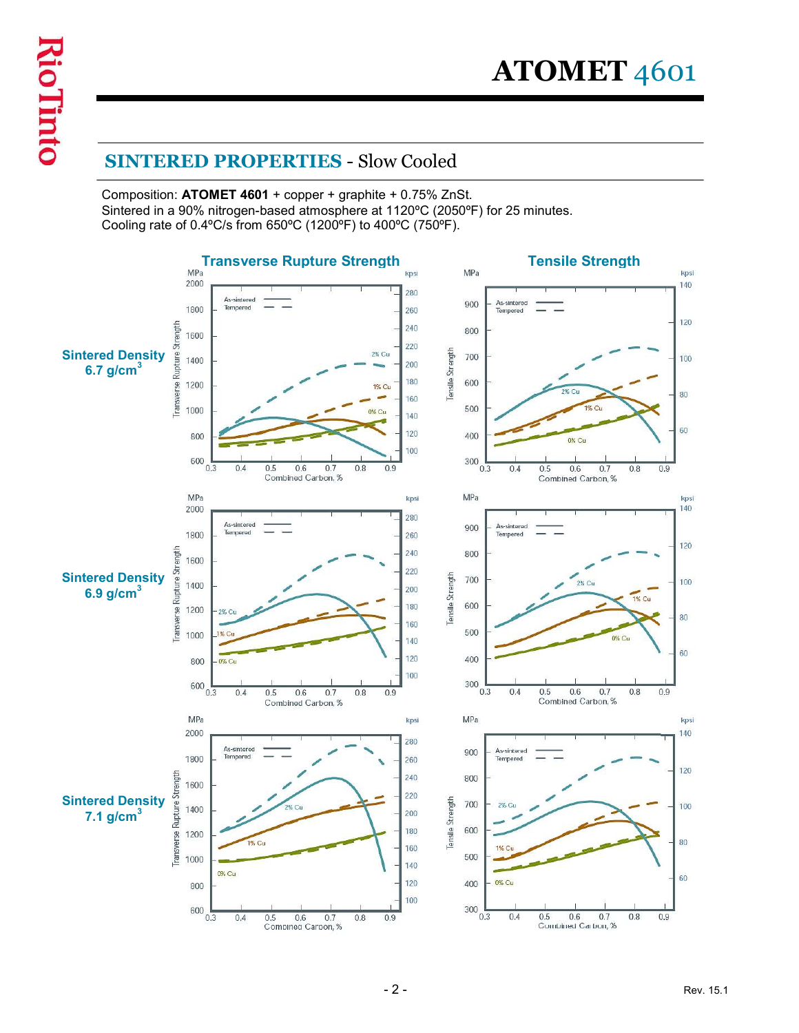**ATOMET** 4601<br>
SINTERED PROPERTIES - Slow Cooled<br>
Composition: ATOMET 4601 + copper + graphite + 0.75% ZnSt.<br>
Sintered in a 90% nitrogen-based atmosphere at 1120°C (2050°F) for 25 minutes.<br>
Cooling rate of 0.4°C/s from 65 Composition: ATOMET 4601 + copper + graphite + 0.75% ZnSt. Sintered in a 90% nitrogen-based atmosphere at 1120ºC (2050ºF) for 25 minutes. Cooling rate of 0.4ºC/s from 650ºC (1200ºF) to 400ºC (750ºF).

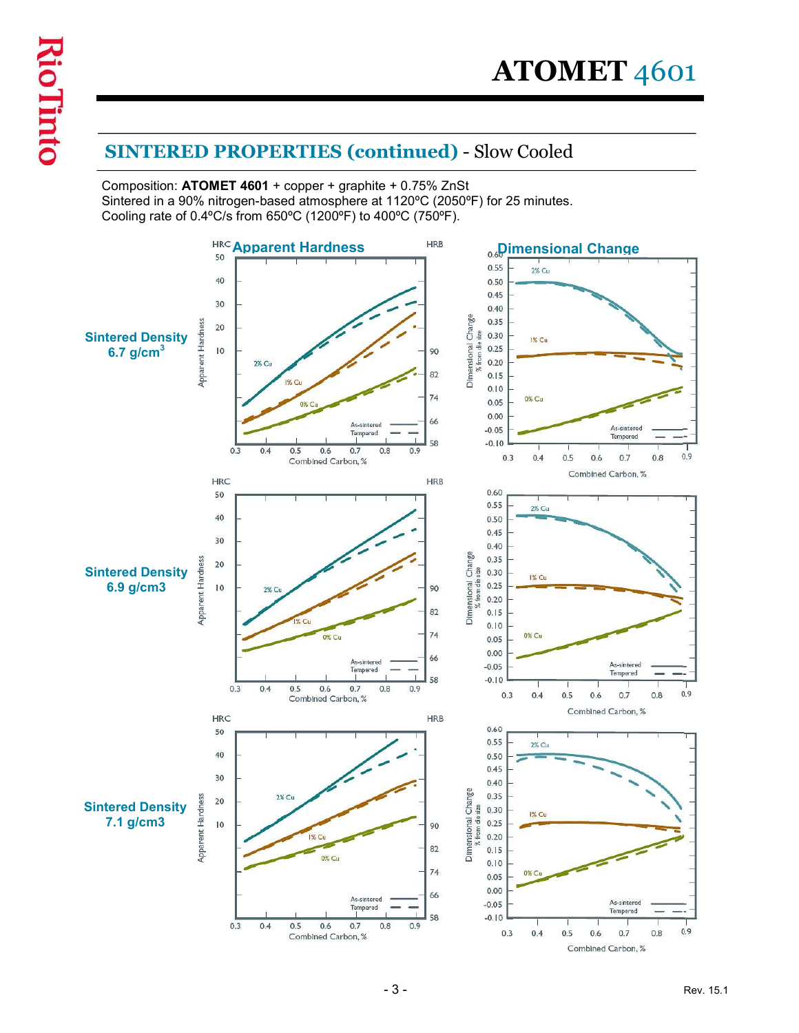$\bf{ATOMET}$  4601<br>SINTERED PROPERTIES (continued) - Slow Cooled<br>Composition: ATOMET 4601 + copper + graphite + 0.75% ZnSt<br>Sintered in a 90% nitrogen-based atmosphere at 1120°C (2050°F) for 25 minutes.<br>Cooling rate of 0.4°C/s Composition: ATOMET 4601 + copper + graphite + 0.75% ZnSt Sintered in a 90% nitrogen-based atmosphere at 1120ºC (2050ºF) for 25 minutes. Cooling rate of 0.4ºC/s from 650ºC (1200ºF) to 400ºC (750ºF).

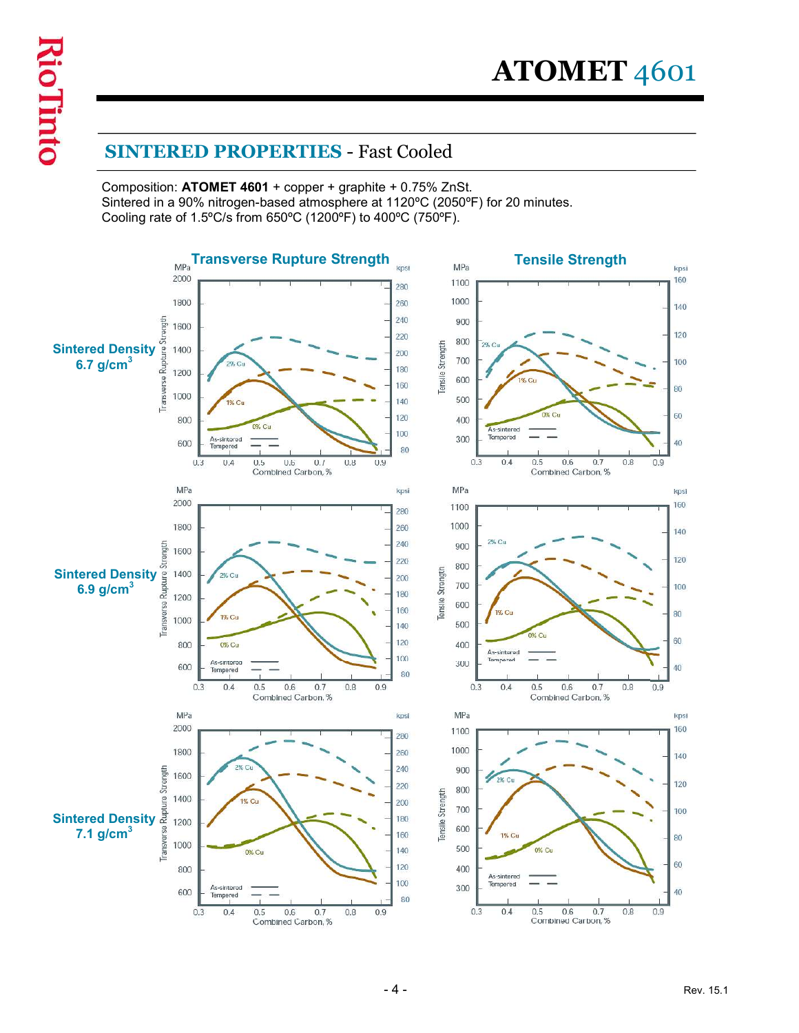$\bf ATOMET$  4601<br>
SINTERED PROPERTIES - Fast Cooled<br>
Composition: ATOMET 4601 + copper + graphite + 0.75% ZnSt.<br>
Sintered in a 90% nitrogen-based atmosphere at 1120°C (2050°F) for 20 minutes.<br>
Cooling rate of 1.5°C/s from 650 Composition: ATOMET 4601 + copper + graphite + 0.75% ZnSt. Sintered in a 90% nitrogen-based atmosphere at 1120ºC (2050ºF) for 20 minutes. Cooling rate of 1.5ºC/s from 650ºC (1200ºF) to 400ºC (750ºF).

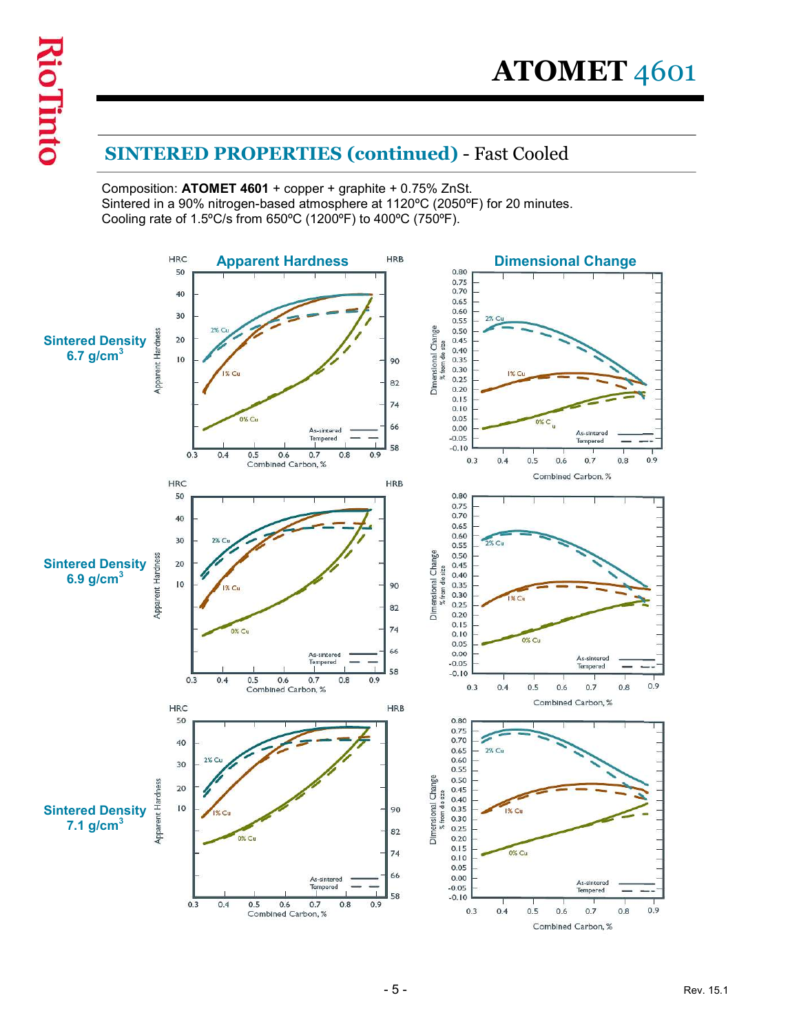$\bf{ATOMET}$  4601<br>SINTERED PROPERTIES (continued) - Fast Cooled<br>Composition: ATOMET 4601 + copper + graphite + 0.75% ZnSt.<br>Sintered in a 90% nitrogen-based atmosphere at 1120°C (2050°F) for 20 minutes.<br>Cooling rate of 1.5°C/ Composition: ATOMET 4601 + copper + graphite + 0.75% ZnSt. Sintered in a 90% nitrogen-based atmosphere at 1120°C (2050°F) for 20 minutes.<br>Cooling rate of 1.5°C/s from 650°C (1200°F) to 400°C (750°F).

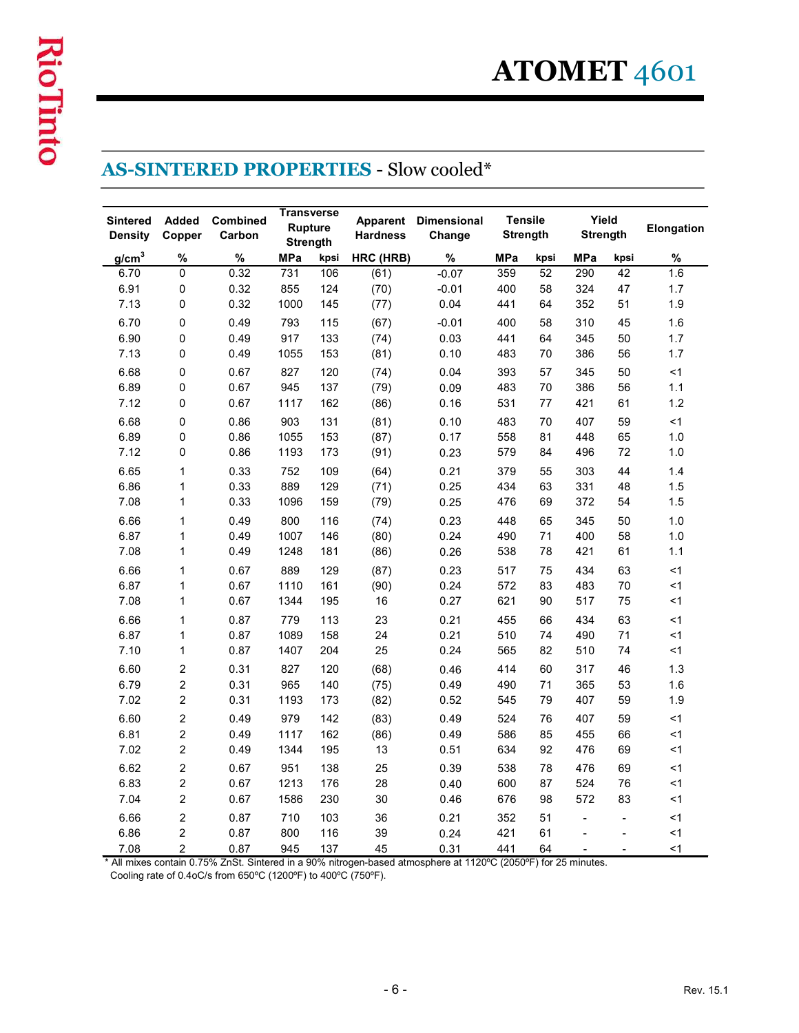|                                   |                                  |                           |              |                                                        |                 | <b>AS-SINTERED PROPERTIES - Slow cooled*</b>                                                                           |                                   |          |                          |                          |                   |
|-----------------------------------|----------------------------------|---------------------------|--------------|--------------------------------------------------------|-----------------|------------------------------------------------------------------------------------------------------------------------|-----------------------------------|----------|--------------------------|--------------------------|-------------------|
| <b>Sintered</b><br><b>Density</b> | <b>Added</b><br>Copper           | <b>Combined</b><br>Carbon |              | <b>Transverse</b><br><b>Rupture</b><br><b>Strength</b> | <b>Hardness</b> | <b>Apparent Dimensional</b><br>Change                                                                                  | <b>Tensile</b><br><b>Strength</b> |          | Yield<br><b>Strength</b> |                          | Elongation        |
| g/cm <sup>3</sup>                 | %                                | %                         | <b>MPa</b>   | kpsi                                                   | HRC (HRB)       | %                                                                                                                      | <b>MPa</b>                        | kpsi     | <b>MPa</b>               | kpsi                     | %                 |
| 6.70                              | $\mathbf 0$                      | 0.32                      | 731          | 106                                                    | (61)            | $-0.07$                                                                                                                | 359                               | 52       | 290                      | 42                       | 1.6               |
| 6.91<br>7.13                      | $\mathbf 0$<br>$\mathbf 0$       | 0.32<br>0.32              | 855<br>1000  | 124<br>145                                             | (70)<br>(77)    | $-0.01$<br>0.04                                                                                                        | 400<br>441                        | 58<br>64 | 324<br>352               | 47<br>51                 | 1.7<br>1.9        |
| 6.70                              | $\mathbf 0$                      | 0.49                      | 793          | 115                                                    | (67)            | $-0.01$                                                                                                                | 400                               | 58       | 310                      | 45                       | 1.6               |
| 6.90                              | $\mathbf 0$                      | 0.49                      | 917          | 133                                                    | (74)            | 0.03                                                                                                                   | 441                               | 64       | 345                      | 50                       | 1.7               |
| 7.13                              | $\mathbf 0$                      | 0.49                      | 1055         | 153                                                    | (81)            | 0.10                                                                                                                   | 483                               | 70       | 386                      | 56                       | 1.7               |
| 6.68                              | 0                                | 0.67                      | 827          | 120                                                    | (74)            | 0.04                                                                                                                   | 393                               | 57       | 345                      | 50                       | <1                |
| 6.89<br>7.12                      | 0<br>$\Omega$                    | 0.67<br>0.67              | 945<br>1117  | 137<br>162                                             | (79)            | 0.09<br>0.16                                                                                                           | 483<br>531                        | 70<br>77 | 386<br>421               | 56<br>61                 | 1.1<br>1.2        |
| 6.68                              | 0                                | 0.86                      | 903          | 131                                                    | (86)<br>(81)    | 0.10                                                                                                                   | 483                               | 70       | 407                      | 59                       | < 1               |
| 6.89                              | 0                                | 0.86                      | 1055         | 153                                                    | (87)            | 0.17                                                                                                                   | 558                               | 81       | 448                      | 65                       | $1.0$             |
| 7.12                              | 0                                | 0.86                      | 1193         | 173                                                    | (91)            | 0.23                                                                                                                   | 579                               | 84       | 496                      | 72                       | $1.0$             |
| 6.65                              | $\mathbf{1}$                     | 0.33                      | 752          | 109                                                    | (64)            | 0.21                                                                                                                   | 379                               | 55       | 303                      | 44                       | 1.4               |
| 6.86                              | $\mathbf{1}$                     | 0.33                      | 889          | 129                                                    | (71)            | 0.25                                                                                                                   | 434                               | 63       | 331                      | 48                       | 1.5               |
| 7.08                              | $\mathbf{1}$                     | 0.33                      | 1096         | 159                                                    | (79)            | 0.25                                                                                                                   | 476                               | 69       | 372                      | 54                       | 1.5               |
| 6.66<br>6.87                      | $\mathbf{1}$<br>$\mathbf{1}$     | 0.49<br>0.49              | 800<br>1007  | 116<br>146                                             | (74)<br>(80)    | 0.23<br>0.24                                                                                                           | 448<br>490                        | 65<br>71 | 345<br>400               | 50<br>58                 | $1.0$<br>$1.0\,$  |
| 7.08                              | $\mathbf{1}$                     | 0.49                      | 1248         | 181                                                    | (86)            | 0.26                                                                                                                   | 538                               | 78       | 421                      | 61                       | 1.1               |
| 6.66                              | $\mathbf{1}$                     | 0.67                      | 889          | 129                                                    | (87)            | 0.23                                                                                                                   | 517                               | 75       | 434                      | 63                       | $\leq$ 1          |
| 6.87                              | $\mathbf{1}$                     | 0.67                      | 1110         | 161                                                    | (90)            | 0.24                                                                                                                   | 572                               | 83       | 483                      | 70                       | $\leq$ 1          |
| 7.08                              | $\mathbf{1}$                     | 0.67                      | 1344         | 195                                                    | 16              | 0.27                                                                                                                   | 621                               | 90       | 517                      | 75                       | $<$ 1             |
| 6.66                              | $\mathbf{1}$                     | 0.87                      | 779          | 113                                                    | 23              | 0.21                                                                                                                   | 455                               | 66       | 434                      | 63                       | $<$ 1             |
| 6.87<br>7.10                      | $\mathbf{1}$<br>$\mathbf{1}$     | 0.87<br>0.87              | 1089<br>1407 | 158<br>204                                             | 24<br>25        | 0.21<br>0.24                                                                                                           | 510<br>565                        | 74<br>82 | 490<br>510               | 71<br>74                 | $<$ 1<br>$\leq$ 1 |
| 6.60                              | $\mathbf{2}$                     | 0.31                      | 827          | 120                                                    | (68)            | 0.46                                                                                                                   | 414                               | 60       | 317                      | 46                       | 1.3               |
| 6.79                              | $\overline{c}$                   | 0.31                      | 965          | 140                                                    | (75)            | 0.49                                                                                                                   | 490                               | 71       | 365                      | 53                       | 1.6               |
| 7.02                              | $\overline{2}$                   | 0.31                      | 1193         | 173                                                    | (82)            | 0.52                                                                                                                   | 545                               | 79       | 407                      | 59                       | 1.9               |
| 6.60                              | $\overline{c}$                   | 0.49                      | 979          | 142                                                    | (83)            | 0.49                                                                                                                   | 524                               | 76       | 407                      | 59                       | $\leq$ 1          |
| 6.81<br>7.02                      | $\overline{2}$<br>$\overline{2}$ | 0.49<br>0.49              | 1117<br>1344 | 162<br>195                                             | (86)<br>13      | 0.49<br>0.51                                                                                                           | 586<br>634                        | 85<br>92 | 455<br>476               | 66<br>69                 | $<$ 1<br>$<$ 1    |
| 6.62                              | $\overline{2}$                   | 0.67                      | 951          | 138                                                    | 25              | 0.39                                                                                                                   | 538                               | 78       | 476                      | 69                       | $<$ 1             |
| 6.83                              | $\overline{2}$                   | 0.67                      | 1213         | 176                                                    | 28              | 0.40                                                                                                                   | 600                               | 87       | 524                      | 76                       | $<$ 1             |
| 7.04                              | $\overline{2}$                   | 0.67                      | 1586         | 230                                                    | 30              | 0.46                                                                                                                   | 676                               | 98       | 572                      | 83                       | $<1\,$            |
| 6.66                              | $\overline{2}$                   | 0.87                      | 710          | 103                                                    | 36              | 0.21                                                                                                                   | 352                               | 51       | $\sim$                   | $\overline{\phantom{a}}$ | $<1\,$            |
| 6.86                              | $\overline{2}$                   | 0.87                      | 800          | 116                                                    | 39              | 0.24                                                                                                                   | 421                               | 61       | $\blacksquare$           | $\sim$                   | < 1               |
| 7.08                              | $\overline{2}$                   | 0.87                      | 945          | 137                                                    | 45              | 0.31<br>* All mixes contain 0.75% ZnSt. Sintered in a 90% nitrogen-based atmosphere at 1120°C (2050°F) for 25 minutes. | 441                               | 64       | $\blacksquare$           | $\overline{\phantom{a}}$ | < 1               |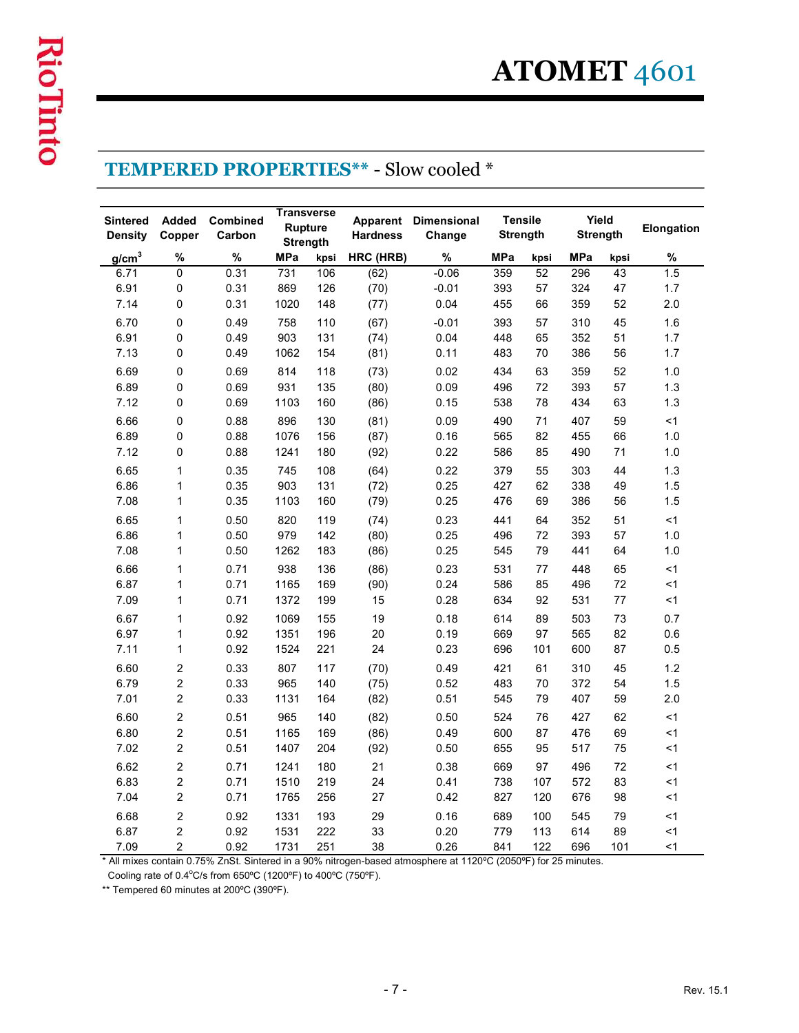|  | <b>TEMPERED PROPERTIES** - Slow cooled</b> |  |
|--|--------------------------------------------|--|
|--|--------------------------------------------|--|

| <b>Transverse</b><br><b>Tensile</b><br><b>Added</b><br>Combined<br><b>Apparent Dimensional</b><br><b>Sintered</b><br><b>Rupture</b><br>Copper<br>Carbon<br><b>Hardness</b><br><b>Strength</b><br>Change<br><b>Density</b><br><b>Strength</b><br>%<br>%<br><b>MPa</b><br>HRC (HRB)<br>%<br>g/cm <sup>3</sup><br><b>MPa</b><br>kpsi<br>$\overline{0}$<br>6.71<br>0.31<br>$-0.06$<br>359<br>731<br>106<br>(62)<br>6.91<br>0<br>0.31<br>869<br>$-0.01$<br>393<br>126<br>(70) | Yield<br><b>Strength</b> |                            |
|--------------------------------------------------------------------------------------------------------------------------------------------------------------------------------------------------------------------------------------------------------------------------------------------------------------------------------------------------------------------------------------------------------------------------------------------------------------------------|--------------------------|----------------------------|
|                                                                                                                                                                                                                                                                                                                                                                                                                                                                          |                          | Elongation                 |
|                                                                                                                                                                                                                                                                                                                                                                                                                                                                          | <b>MPa</b><br>kpsi       | ℅<br>kpsi                  |
|                                                                                                                                                                                                                                                                                                                                                                                                                                                                          | 52<br>296                | 1.5<br>43                  |
| 7.14<br>$\Omega$<br>0.31<br>1020<br>0.04<br>455<br>148<br>(77)                                                                                                                                                                                                                                                                                                                                                                                                           | 57<br>324<br>66<br>359   | 47<br>1.7<br>2.0<br>52     |
| 6.70<br>$-0.01$<br>$\Omega$<br>0.49<br>758<br>(67)<br>393<br>110                                                                                                                                                                                                                                                                                                                                                                                                         | 57<br>310                | 45<br>1.6                  |
| 6.91<br>448<br>0<br>0.49<br>903<br>131<br>(74)<br>0.04                                                                                                                                                                                                                                                                                                                                                                                                                   | 65<br>352                | 51<br>1.7                  |
| 7.13<br>$\Omega$<br>0.49<br>1062<br>483<br>154<br>(81)<br>0.11                                                                                                                                                                                                                                                                                                                                                                                                           | 70<br>386                | 56<br>1.7                  |
| 6.69<br>$\mathbf 0$<br>0.69<br>814<br>0.02<br>434<br>118<br>(73)<br>$\mathbf 0$<br>6.89<br>0.69<br>(80)<br>0.09<br>496<br>931<br>135                                                                                                                                                                                                                                                                                                                                     | 63<br>359<br>72<br>393   | 52<br>1.0<br>1.3<br>57     |
| 7.12<br>$\mathbf 0$<br>0.69<br>1103<br>(86)<br>0.15<br>538<br>160                                                                                                                                                                                                                                                                                                                                                                                                        | 78<br>434                | 1.3<br>63                  |
| 6.66<br>0<br>0.88<br>896<br>130<br>(81)<br>0.09<br>490                                                                                                                                                                                                                                                                                                                                                                                                                   | 71<br>407                | 59<br>$<$ 1                |
| $\pmb{0}$<br>6.89<br>0.88<br>1076<br>0.16<br>565<br>156<br>(87)                                                                                                                                                                                                                                                                                                                                                                                                          | 82<br>455                | 66<br>1.0                  |
| 7.12<br>$\pmb{0}$<br>0.22<br>0.88<br>1241<br>180<br>586<br>(92)                                                                                                                                                                                                                                                                                                                                                                                                          | 85<br>490                | 71<br>1.0                  |
| 6.65<br>0.35<br>0.22<br>$\mathbf{1}$<br>745<br>108<br>(64)<br>379                                                                                                                                                                                                                                                                                                                                                                                                        | 55<br>303                | 1.3<br>44                  |
| 6.86<br>0.25<br>427<br>$\mathbf{1}$<br>0.35<br>903<br>131<br>(72)<br>$\mathbf{1}$<br>0.25<br>476<br>7.08<br>0.35<br>1103<br>160<br>(79)                                                                                                                                                                                                                                                                                                                                  | 338<br>62<br>386<br>69   | 1.5<br>49<br>1.5<br>56     |
| 6.65<br>$\mathbf{1}$<br>0.50<br>820<br>119<br>(74)<br>0.23<br>441                                                                                                                                                                                                                                                                                                                                                                                                        | 64<br>352                | < 1<br>51                  |
| 6.86<br>0.25<br>$\mathbf{1}$<br>0.50<br>979<br>142<br>(80)<br>496                                                                                                                                                                                                                                                                                                                                                                                                        | 72<br>393                | 57<br>1.0                  |
| 7.08<br>$\mathbf{1}$<br>0.50<br>1262<br>(86)<br>0.25<br>545<br>183                                                                                                                                                                                                                                                                                                                                                                                                       | 79<br>441                | 64<br>1.0                  |
| 6.66<br>0.71<br>0.23<br>$\mathbf{1}$<br>938<br>136<br>531<br>(86)                                                                                                                                                                                                                                                                                                                                                                                                        | 77<br>448                | 65<br>$<$ 1                |
| 6.87<br>0.71<br>$\mathbf{1}$<br>1165<br>0.24<br>586<br>169<br>(90)<br>7.09<br>$\mathbf{1}$<br>0.71<br>1372<br>0.28<br>634<br>199<br>15                                                                                                                                                                                                                                                                                                                                   | 85<br>496<br>92<br>531   | 72<br>$<$ 1<br>77<br>$<$ 1 |
| 6.67<br>0.92<br>1069<br>155<br>0.18<br>614<br>$\mathbf{1}$<br>19                                                                                                                                                                                                                                                                                                                                                                                                         | 89<br>503                | 0.7<br>73                  |
| 6.97<br>0.92<br>1351<br>196<br>20<br>0.19<br>669<br>$\mathbf{1}$                                                                                                                                                                                                                                                                                                                                                                                                         | 97<br>565                | 82<br>0.6                  |
| 7.11<br>0.92<br>1524<br>221<br>24<br>0.23<br>$\mathbf{1}$<br>696                                                                                                                                                                                                                                                                                                                                                                                                         | 101<br>600               | 87<br>0.5                  |
| $\sqrt{2}$<br>6.60<br>0.33<br>807<br>117<br>0.49<br>421<br>(70)                                                                                                                                                                                                                                                                                                                                                                                                          | 310<br>61                | 45<br>1.2                  |
| $\overline{c}$<br>6.79<br>0.33<br>965<br>(75)<br>0.52<br>483<br>140                                                                                                                                                                                                                                                                                                                                                                                                      | 70<br>372                | 1.5<br>54                  |
| $\overline{c}$<br>7.01<br>(82)<br>0.51<br>0.33<br>1131<br>164<br>545                                                                                                                                                                                                                                                                                                                                                                                                     | 79<br>407                | 2.0<br>59                  |
| 6.60<br>$\overline{c}$<br>0.51<br>0.50<br>965<br>140<br>(82)<br>524<br>6.80<br>$\overline{c}$<br>0.51<br>0.49<br>1165<br>169<br>(86)<br>600                                                                                                                                                                                                                                                                                                                              | 76<br>427<br>87<br>476   | 62<br><1<br>69<br><1       |
| $\overline{2}$<br>7.02<br>0.51<br>1407<br>204<br>(92)<br>0.50<br>655                                                                                                                                                                                                                                                                                                                                                                                                     | 95<br>517                | 75<br><1                   |
| 6.62<br>$\overline{c}$<br>0.71<br>1241<br>21<br>0.38<br>669<br>180                                                                                                                                                                                                                                                                                                                                                                                                       | 97<br>496                | 72<br><1                   |
| $\overline{2}$<br>6.83<br>0.71<br>1510<br>219<br>24<br>0.41<br>738                                                                                                                                                                                                                                                                                                                                                                                                       | 107<br>572               | 83<br><1                   |
| $\overline{c}$<br>7.04<br>0.71<br>1765<br>256<br>27<br>0.42<br>827                                                                                                                                                                                                                                                                                                                                                                                                       | 120<br>676               | 98<br><1                   |
| $\sqrt{2}$<br>6.68<br>0.92<br>1331<br>193<br>29<br>0.16<br>689<br>$\overline{2}$<br>6.87<br>0.92<br>1531<br>33<br>0.20<br>222<br>779                                                                                                                                                                                                                                                                                                                                     | 100<br>545<br>113<br>614 | < 1<br>79<br>< 1<br>89     |
| $\overline{2}$<br>7.09<br>0.92<br>1731<br>251<br>38<br>0.26<br>841                                                                                                                                                                                                                                                                                                                                                                                                       | 122<br>696               | 101<br>$<$ 1               |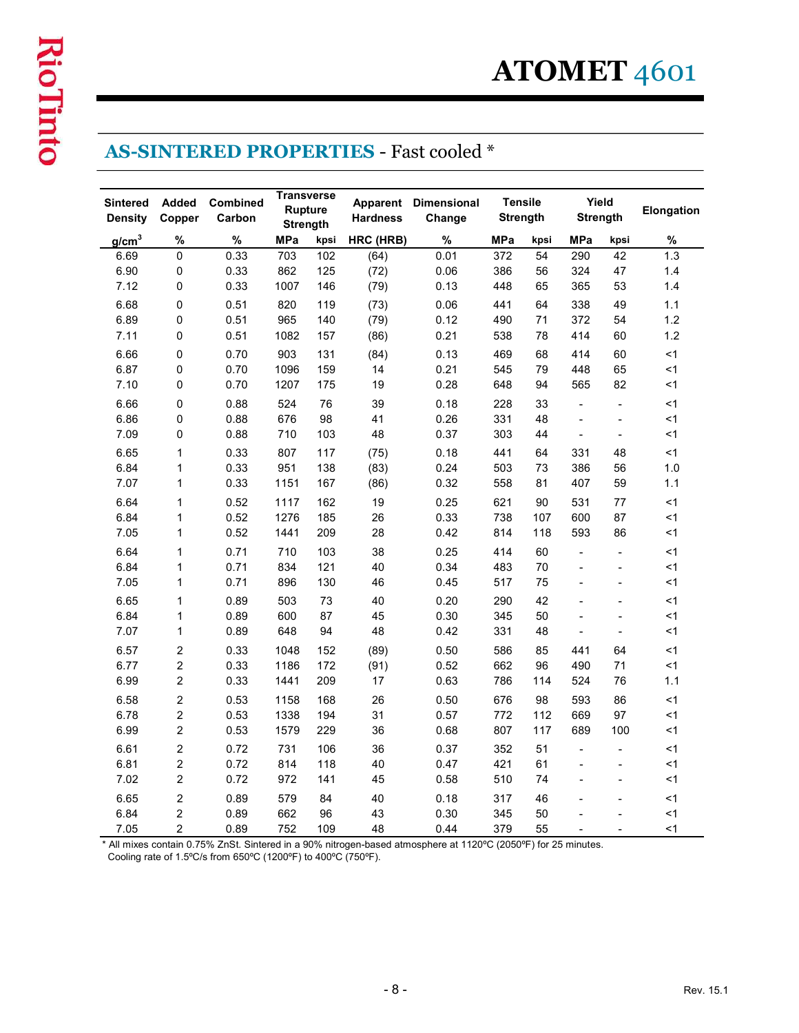| <b>Transverse</b><br><b>Tensile</b><br>Yield<br>Combined<br><b>Sintered</b><br><b>Added</b><br>Apparent Dimensional<br><b>Rupture</b><br>Elongation<br>Copper<br>Carbon<br><b>Hardness</b><br><b>Strength</b><br><b>Strength</b><br><b>Density</b><br>Change<br><b>Strength</b><br>g/cm <sup>3</sup><br>%<br>%<br><b>MPa</b><br>HRC (HRB)<br>%<br><b>MPa</b><br>%<br>MPa<br>kpsi<br>kpsi<br>kpsi<br>$\mathbf 0$<br>0.33<br>0.01<br>6.69<br>703<br>102<br>372<br>54<br>290<br>42<br>1.3<br>(64)<br>6.90<br>$\mathbf 0$<br>0.33<br>862<br>125<br>0.06<br>386<br>324<br>(72)<br>56<br>47<br>1.4<br>7.12<br>$\Omega$<br>0.33<br>0.13<br>1007<br>146<br>(79)<br>448<br>65<br>365<br>53<br>1.4<br>6.68<br>$\mathbf 0$<br>0.51<br>820<br>(73)<br>0.06<br>441<br>64<br>338<br>1.1<br>119<br>49<br>1.2<br>6.89<br>$\mathbf 0$<br>0.51<br>965<br>(79)<br>0.12<br>490<br>71<br>372<br>140<br>54<br>7.11<br>$\mathbf 0$<br>0.51<br>0.21<br>538<br>$1.2$<br>1082<br>157<br>(86)<br>78<br>414<br>60<br>$\mathbf 0$<br>6.66<br>0.70<br>903<br>131<br>(84)<br>0.13<br>469<br>68<br>414<br>60<br>$<$ 1<br>$\mathbf 0$<br>6.87<br>0.70<br>14<br>0.21<br>545<br>1096<br>159<br>79<br>448<br>65<br>≺1<br>$\mathbf 0$<br>0.70<br>175<br>19<br>0.28<br>648<br>94<br>82<br>7.10<br>1207<br>565<br><1<br>6.66<br>$\boldsymbol{0}$<br>0.88<br>524<br>76<br>39<br>0.18<br>228<br>33<br>$<$ 1<br>$\overline{\phantom{a}}$<br>$\blacksquare$<br>676<br>331<br>48<br>6.86<br>0<br>0.88<br>98<br>41<br>0.26<br><1<br>$\blacksquare$<br>$\overline{\phantom{a}}$<br>$\mathbf 0$<br>48<br>0.37<br>303<br>< 1<br>7.09<br>0.88<br>710<br>103<br>44<br>$\blacksquare$<br>$\blacksquare$<br>6.65<br>$\mathbf{1}$<br>0.33<br>807<br>(75)<br>0.18<br>441<br>64<br>331<br>$<1\,$<br>117<br>48<br>$\mathbf{1}$<br>951<br>6.84<br>0.33<br>138<br>(83)<br>0.24<br>503<br>73<br>386<br>56<br>$1.0$<br>$\mathbf{1}$<br>7.07<br>0.33<br>1151<br>0.32<br>558<br>81<br>$1.1$<br>167<br>(86)<br>407<br>59<br>$\mathbf{1}$<br>6.64<br>0.52<br>1117<br>162<br>19<br>0.25<br>621<br>90<br>77<br>$<$ 1<br>531<br>6.84<br>$\mathbf{1}$<br>0.52<br>1276<br>185<br>26<br>0.33<br>738<br>107<br>87<br>$\leq$ 1<br>600<br>$\mathbf{1}$<br>7.05<br>0.52<br>1441<br>209<br>28<br>0.42<br>814<br>593<br>$<1\,$<br>118<br>86<br>6.64<br>$\mathbf{1}$<br>0.25<br>414<br>0.71<br>710<br>103<br>38<br>60<br><1<br>$\blacksquare$<br>$\overline{\phantom{a}}$<br>6.84<br>$\mathbf{1}$<br>834<br>40<br>0.34<br>483<br>$70\,$<br>$\leq$ 1<br>0.71<br>121<br>$\blacksquare$<br>$\blacksquare$<br>$\mathbf{1}$<br>7.05<br>0.71<br>896<br>130<br>46<br>0.45<br>517<br>75<br>$<1\,$<br>$\blacksquare$<br>$\blacksquare$<br>6.65<br>$\mathbf{1}$<br>503<br>40<br>0.20<br>290<br>42<br>$<1\,$<br>0.89<br>73<br>$\overline{\phantom{a}}$<br>$\overline{\phantom{a}}$ | 6.84<br>$\mathbf{1}$<br>0.89<br>600<br>87<br>45<br>0.30<br>345<br>50<br>$\leq$ 1<br>$\overline{\phantom{a}}$<br>$\overline{\phantom{a}}$<br>7.07<br>0.89<br>648<br>94<br>0.42<br>331<br>48<br>$\mathbf{1}$<br>48<br>$<$ 1<br>$\blacksquare$<br>$\blacksquare$<br>$\overline{2}$<br>$\leq$ 1<br>6.57<br>0.33<br>1048<br>152<br>(89)<br>0.50<br>586<br>85<br>64<br>441<br>$\sqrt{2}$<br>$\leq$ 1<br>6.77<br>0.33<br>1186<br>172<br>(91)<br>0.52<br>662<br>96<br>490<br>71<br>$\overline{2}$<br>6.99<br>0.33<br>1441<br>209<br>17<br>0.63<br>76<br>$1.1$<br>786<br>114<br>524<br>$\overline{2}$<br>0.53<br>676<br>98<br>6.58<br>1158<br>168<br>26<br>0.50<br>593<br>86<br><1<br>$\mathbf{2}$<br>0.53<br>1338<br>31<br><1<br>6.78<br>194<br>0.57<br>772<br>112<br>669<br>97<br>$\overline{c}$<br>6.99<br>0.53<br>1579<br>229<br>36<br>0.68<br>807<br>117<br>689<br><1<br>100<br>$\blacksquare$<br>$\blacksquare$ | $\overline{2}$<br>0.72<br>6.61<br>731<br>106<br>36<br>0.37<br>352<br>51<br><1<br>$\overline{2}$<br>0.72<br>40<br>421<br>6.81<br>814<br>118<br>0.47<br>61<br>$<1\,$<br>$\overline{\phantom{a}}$<br>$\overline{\phantom{a}}$<br>$\sim$<br>$\overline{\phantom{a}}$ |
|--------------------------------------------------------------------------------------------------------------------------------------------------------------------------------------------------------------------------------------------------------------------------------------------------------------------------------------------------------------------------------------------------------------------------------------------------------------------------------------------------------------------------------------------------------------------------------------------------------------------------------------------------------------------------------------------------------------------------------------------------------------------------------------------------------------------------------------------------------------------------------------------------------------------------------------------------------------------------------------------------------------------------------------------------------------------------------------------------------------------------------------------------------------------------------------------------------------------------------------------------------------------------------------------------------------------------------------------------------------------------------------------------------------------------------------------------------------------------------------------------------------------------------------------------------------------------------------------------------------------------------------------------------------------------------------------------------------------------------------------------------------------------------------------------------------------------------------------------------------------------------------------------------------------------------------------------------------------------------------------------------------------------------------------------------------------------------------------------------------------------------------------------------------------------------------------------------------------------------------------------------------------------------------------------------------------------------------------------------------------------------------------------------------------------------------------------------------------------------------------------------------------------------------------------------------------------------------------------------------------------------------------------------------------------------------------------------------------------------------------------------------------------------------------|--------------------------------------------------------------------------------------------------------------------------------------------------------------------------------------------------------------------------------------------------------------------------------------------------------------------------------------------------------------------------------------------------------------------------------------------------------------------------------------------------------------------------------------------------------------------------------------------------------------------------------------------------------------------------------------------------------------------------------------------------------------------------------------------------------------------------------------------------------------------------------------------------------------|------------------------------------------------------------------------------------------------------------------------------------------------------------------------------------------------------------------------------------------------------------------|
|                                                                                                                                                                                                                                                                                                                                                                                                                                                                                                                                                                                                                                                                                                                                                                                                                                                                                                                                                                                                                                                                                                                                                                                                                                                                                                                                                                                                                                                                                                                                                                                                                                                                                                                                                                                                                                                                                                                                                                                                                                                                                                                                                                                                                                                                                                                                                                                                                                                                                                                                                                                                                                                                                                                                                                                            |                                                                                                                                                                                                                                                                                                                                                                                                                                                                                                                                                                                                                                                                                                                                                                                                                                                                                                              |                                                                                                                                                                                                                                                                  |
|                                                                                                                                                                                                                                                                                                                                                                                                                                                                                                                                                                                                                                                                                                                                                                                                                                                                                                                                                                                                                                                                                                                                                                                                                                                                                                                                                                                                                                                                                                                                                                                                                                                                                                                                                                                                                                                                                                                                                                                                                                                                                                                                                                                                                                                                                                                                                                                                                                                                                                                                                                                                                                                                                                                                                                                            |                                                                                                                                                                                                                                                                                                                                                                                                                                                                                                                                                                                                                                                                                                                                                                                                                                                                                                              |                                                                                                                                                                                                                                                                  |
|                                                                                                                                                                                                                                                                                                                                                                                                                                                                                                                                                                                                                                                                                                                                                                                                                                                                                                                                                                                                                                                                                                                                                                                                                                                                                                                                                                                                                                                                                                                                                                                                                                                                                                                                                                                                                                                                                                                                                                                                                                                                                                                                                                                                                                                                                                                                                                                                                                                                                                                                                                                                                                                                                                                                                                                            |                                                                                                                                                                                                                                                                                                                                                                                                                                                                                                                                                                                                                                                                                                                                                                                                                                                                                                              |                                                                                                                                                                                                                                                                  |
|                                                                                                                                                                                                                                                                                                                                                                                                                                                                                                                                                                                                                                                                                                                                                                                                                                                                                                                                                                                                                                                                                                                                                                                                                                                                                                                                                                                                                                                                                                                                                                                                                                                                                                                                                                                                                                                                                                                                                                                                                                                                                                                                                                                                                                                                                                                                                                                                                                                                                                                                                                                                                                                                                                                                                                                            |                                                                                                                                                                                                                                                                                                                                                                                                                                                                                                                                                                                                                                                                                                                                                                                                                                                                                                              |                                                                                                                                                                                                                                                                  |
|                                                                                                                                                                                                                                                                                                                                                                                                                                                                                                                                                                                                                                                                                                                                                                                                                                                                                                                                                                                                                                                                                                                                                                                                                                                                                                                                                                                                                                                                                                                                                                                                                                                                                                                                                                                                                                                                                                                                                                                                                                                                                                                                                                                                                                                                                                                                                                                                                                                                                                                                                                                                                                                                                                                                                                                            |                                                                                                                                                                                                                                                                                                                                                                                                                                                                                                                                                                                                                                                                                                                                                                                                                                                                                                              |                                                                                                                                                                                                                                                                  |
|                                                                                                                                                                                                                                                                                                                                                                                                                                                                                                                                                                                                                                                                                                                                                                                                                                                                                                                                                                                                                                                                                                                                                                                                                                                                                                                                                                                                                                                                                                                                                                                                                                                                                                                                                                                                                                                                                                                                                                                                                                                                                                                                                                                                                                                                                                                                                                                                                                                                                                                                                                                                                                                                                                                                                                                            |                                                                                                                                                                                                                                                                                                                                                                                                                                                                                                                                                                                                                                                                                                                                                                                                                                                                                                              |                                                                                                                                                                                                                                                                  |
|                                                                                                                                                                                                                                                                                                                                                                                                                                                                                                                                                                                                                                                                                                                                                                                                                                                                                                                                                                                                                                                                                                                                                                                                                                                                                                                                                                                                                                                                                                                                                                                                                                                                                                                                                                                                                                                                                                                                                                                                                                                                                                                                                                                                                                                                                                                                                                                                                                                                                                                                                                                                                                                                                                                                                                                            |                                                                                                                                                                                                                                                                                                                                                                                                                                                                                                                                                                                                                                                                                                                                                                                                                                                                                                              |                                                                                                                                                                                                                                                                  |
|                                                                                                                                                                                                                                                                                                                                                                                                                                                                                                                                                                                                                                                                                                                                                                                                                                                                                                                                                                                                                                                                                                                                                                                                                                                                                                                                                                                                                                                                                                                                                                                                                                                                                                                                                                                                                                                                                                                                                                                                                                                                                                                                                                                                                                                                                                                                                                                                                                                                                                                                                                                                                                                                                                                                                                                            |                                                                                                                                                                                                                                                                                                                                                                                                                                                                                                                                                                                                                                                                                                                                                                                                                                                                                                              |                                                                                                                                                                                                                                                                  |
|                                                                                                                                                                                                                                                                                                                                                                                                                                                                                                                                                                                                                                                                                                                                                                                                                                                                                                                                                                                                                                                                                                                                                                                                                                                                                                                                                                                                                                                                                                                                                                                                                                                                                                                                                                                                                                                                                                                                                                                                                                                                                                                                                                                                                                                                                                                                                                                                                                                                                                                                                                                                                                                                                                                                                                                            |                                                                                                                                                                                                                                                                                                                                                                                                                                                                                                                                                                                                                                                                                                                                                                                                                                                                                                              |                                                                                                                                                                                                                                                                  |
|                                                                                                                                                                                                                                                                                                                                                                                                                                                                                                                                                                                                                                                                                                                                                                                                                                                                                                                                                                                                                                                                                                                                                                                                                                                                                                                                                                                                                                                                                                                                                                                                                                                                                                                                                                                                                                                                                                                                                                                                                                                                                                                                                                                                                                                                                                                                                                                                                                                                                                                                                                                                                                                                                                                                                                                            |                                                                                                                                                                                                                                                                                                                                                                                                                                                                                                                                                                                                                                                                                                                                                                                                                                                                                                              |                                                                                                                                                                                                                                                                  |
|                                                                                                                                                                                                                                                                                                                                                                                                                                                                                                                                                                                                                                                                                                                                                                                                                                                                                                                                                                                                                                                                                                                                                                                                                                                                                                                                                                                                                                                                                                                                                                                                                                                                                                                                                                                                                                                                                                                                                                                                                                                                                                                                                                                                                                                                                                                                                                                                                                                                                                                                                                                                                                                                                                                                                                                            |                                                                                                                                                                                                                                                                                                                                                                                                                                                                                                                                                                                                                                                                                                                                                                                                                                                                                                              |                                                                                                                                                                                                                                                                  |
|                                                                                                                                                                                                                                                                                                                                                                                                                                                                                                                                                                                                                                                                                                                                                                                                                                                                                                                                                                                                                                                                                                                                                                                                                                                                                                                                                                                                                                                                                                                                                                                                                                                                                                                                                                                                                                                                                                                                                                                                                                                                                                                                                                                                                                                                                                                                                                                                                                                                                                                                                                                                                                                                                                                                                                                            |                                                                                                                                                                                                                                                                                                                                                                                                                                                                                                                                                                                                                                                                                                                                                                                                                                                                                                              |                                                                                                                                                                                                                                                                  |
|                                                                                                                                                                                                                                                                                                                                                                                                                                                                                                                                                                                                                                                                                                                                                                                                                                                                                                                                                                                                                                                                                                                                                                                                                                                                                                                                                                                                                                                                                                                                                                                                                                                                                                                                                                                                                                                                                                                                                                                                                                                                                                                                                                                                                                                                                                                                                                                                                                                                                                                                                                                                                                                                                                                                                                                            |                                                                                                                                                                                                                                                                                                                                                                                                                                                                                                                                                                                                                                                                                                                                                                                                                                                                                                              |                                                                                                                                                                                                                                                                  |
|                                                                                                                                                                                                                                                                                                                                                                                                                                                                                                                                                                                                                                                                                                                                                                                                                                                                                                                                                                                                                                                                                                                                                                                                                                                                                                                                                                                                                                                                                                                                                                                                                                                                                                                                                                                                                                                                                                                                                                                                                                                                                                                                                                                                                                                                                                                                                                                                                                                                                                                                                                                                                                                                                                                                                                                            |                                                                                                                                                                                                                                                                                                                                                                                                                                                                                                                                                                                                                                                                                                                                                                                                                                                                                                              |                                                                                                                                                                                                                                                                  |
|                                                                                                                                                                                                                                                                                                                                                                                                                                                                                                                                                                                                                                                                                                                                                                                                                                                                                                                                                                                                                                                                                                                                                                                                                                                                                                                                                                                                                                                                                                                                                                                                                                                                                                                                                                                                                                                                                                                                                                                                                                                                                                                                                                                                                                                                                                                                                                                                                                                                                                                                                                                                                                                                                                                                                                                            |                                                                                                                                                                                                                                                                                                                                                                                                                                                                                                                                                                                                                                                                                                                                                                                                                                                                                                              |                                                                                                                                                                                                                                                                  |
|                                                                                                                                                                                                                                                                                                                                                                                                                                                                                                                                                                                                                                                                                                                                                                                                                                                                                                                                                                                                                                                                                                                                                                                                                                                                                                                                                                                                                                                                                                                                                                                                                                                                                                                                                                                                                                                                                                                                                                                                                                                                                                                                                                                                                                                                                                                                                                                                                                                                                                                                                                                                                                                                                                                                                                                            |                                                                                                                                                                                                                                                                                                                                                                                                                                                                                                                                                                                                                                                                                                                                                                                                                                                                                                              |                                                                                                                                                                                                                                                                  |
|                                                                                                                                                                                                                                                                                                                                                                                                                                                                                                                                                                                                                                                                                                                                                                                                                                                                                                                                                                                                                                                                                                                                                                                                                                                                                                                                                                                                                                                                                                                                                                                                                                                                                                                                                                                                                                                                                                                                                                                                                                                                                                                                                                                                                                                                                                                                                                                                                                                                                                                                                                                                                                                                                                                                                                                            |                                                                                                                                                                                                                                                                                                                                                                                                                                                                                                                                                                                                                                                                                                                                                                                                                                                                                                              |                                                                                                                                                                                                                                                                  |
|                                                                                                                                                                                                                                                                                                                                                                                                                                                                                                                                                                                                                                                                                                                                                                                                                                                                                                                                                                                                                                                                                                                                                                                                                                                                                                                                                                                                                                                                                                                                                                                                                                                                                                                                                                                                                                                                                                                                                                                                                                                                                                                                                                                                                                                                                                                                                                                                                                                                                                                                                                                                                                                                                                                                                                                            |                                                                                                                                                                                                                                                                                                                                                                                                                                                                                                                                                                                                                                                                                                                                                                                                                                                                                                              |                                                                                                                                                                                                                                                                  |
|                                                                                                                                                                                                                                                                                                                                                                                                                                                                                                                                                                                                                                                                                                                                                                                                                                                                                                                                                                                                                                                                                                                                                                                                                                                                                                                                                                                                                                                                                                                                                                                                                                                                                                                                                                                                                                                                                                                                                                                                                                                                                                                                                                                                                                                                                                                                                                                                                                                                                                                                                                                                                                                                                                                                                                                            |                                                                                                                                                                                                                                                                                                                                                                                                                                                                                                                                                                                                                                                                                                                                                                                                                                                                                                              |                                                                                                                                                                                                                                                                  |
|                                                                                                                                                                                                                                                                                                                                                                                                                                                                                                                                                                                                                                                                                                                                                                                                                                                                                                                                                                                                                                                                                                                                                                                                                                                                                                                                                                                                                                                                                                                                                                                                                                                                                                                                                                                                                                                                                                                                                                                                                                                                                                                                                                                                                                                                                                                                                                                                                                                                                                                                                                                                                                                                                                                                                                                            |                                                                                                                                                                                                                                                                                                                                                                                                                                                                                                                                                                                                                                                                                                                                                                                                                                                                                                              |                                                                                                                                                                                                                                                                  |
|                                                                                                                                                                                                                                                                                                                                                                                                                                                                                                                                                                                                                                                                                                                                                                                                                                                                                                                                                                                                                                                                                                                                                                                                                                                                                                                                                                                                                                                                                                                                                                                                                                                                                                                                                                                                                                                                                                                                                                                                                                                                                                                                                                                                                                                                                                                                                                                                                                                                                                                                                                                                                                                                                                                                                                                            |                                                                                                                                                                                                                                                                                                                                                                                                                                                                                                                                                                                                                                                                                                                                                                                                                                                                                                              |                                                                                                                                                                                                                                                                  |
|                                                                                                                                                                                                                                                                                                                                                                                                                                                                                                                                                                                                                                                                                                                                                                                                                                                                                                                                                                                                                                                                                                                                                                                                                                                                                                                                                                                                                                                                                                                                                                                                                                                                                                                                                                                                                                                                                                                                                                                                                                                                                                                                                                                                                                                                                                                                                                                                                                                                                                                                                                                                                                                                                                                                                                                            |                                                                                                                                                                                                                                                                                                                                                                                                                                                                                                                                                                                                                                                                                                                                                                                                                                                                                                              |                                                                                                                                                                                                                                                                  |
|                                                                                                                                                                                                                                                                                                                                                                                                                                                                                                                                                                                                                                                                                                                                                                                                                                                                                                                                                                                                                                                                                                                                                                                                                                                                                                                                                                                                                                                                                                                                                                                                                                                                                                                                                                                                                                                                                                                                                                                                                                                                                                                                                                                                                                                                                                                                                                                                                                                                                                                                                                                                                                                                                                                                                                                            |                                                                                                                                                                                                                                                                                                                                                                                                                                                                                                                                                                                                                                                                                                                                                                                                                                                                                                              |                                                                                                                                                                                                                                                                  |
|                                                                                                                                                                                                                                                                                                                                                                                                                                                                                                                                                                                                                                                                                                                                                                                                                                                                                                                                                                                                                                                                                                                                                                                                                                                                                                                                                                                                                                                                                                                                                                                                                                                                                                                                                                                                                                                                                                                                                                                                                                                                                                                                                                                                                                                                                                                                                                                                                                                                                                                                                                                                                                                                                                                                                                                            |                                                                                                                                                                                                                                                                                                                                                                                                                                                                                                                                                                                                                                                                                                                                                                                                                                                                                                              |                                                                                                                                                                                                                                                                  |
|                                                                                                                                                                                                                                                                                                                                                                                                                                                                                                                                                                                                                                                                                                                                                                                                                                                                                                                                                                                                                                                                                                                                                                                                                                                                                                                                                                                                                                                                                                                                                                                                                                                                                                                                                                                                                                                                                                                                                                                                                                                                                                                                                                                                                                                                                                                                                                                                                                                                                                                                                                                                                                                                                                                                                                                            |                                                                                                                                                                                                                                                                                                                                                                                                                                                                                                                                                                                                                                                                                                                                                                                                                                                                                                              |                                                                                                                                                                                                                                                                  |
|                                                                                                                                                                                                                                                                                                                                                                                                                                                                                                                                                                                                                                                                                                                                                                                                                                                                                                                                                                                                                                                                                                                                                                                                                                                                                                                                                                                                                                                                                                                                                                                                                                                                                                                                                                                                                                                                                                                                                                                                                                                                                                                                                                                                                                                                                                                                                                                                                                                                                                                                                                                                                                                                                                                                                                                            |                                                                                                                                                                                                                                                                                                                                                                                                                                                                                                                                                                                                                                                                                                                                                                                                                                                                                                              |                                                                                                                                                                                                                                                                  |
|                                                                                                                                                                                                                                                                                                                                                                                                                                                                                                                                                                                                                                                                                                                                                                                                                                                                                                                                                                                                                                                                                                                                                                                                                                                                                                                                                                                                                                                                                                                                                                                                                                                                                                                                                                                                                                                                                                                                                                                                                                                                                                                                                                                                                                                                                                                                                                                                                                                                                                                                                                                                                                                                                                                                                                                            |                                                                                                                                                                                                                                                                                                                                                                                                                                                                                                                                                                                                                                                                                                                                                                                                                                                                                                              |                                                                                                                                                                                                                                                                  |
|                                                                                                                                                                                                                                                                                                                                                                                                                                                                                                                                                                                                                                                                                                                                                                                                                                                                                                                                                                                                                                                                                                                                                                                                                                                                                                                                                                                                                                                                                                                                                                                                                                                                                                                                                                                                                                                                                                                                                                                                                                                                                                                                                                                                                                                                                                                                                                                                                                                                                                                                                                                                                                                                                                                                                                                            |                                                                                                                                                                                                                                                                                                                                                                                                                                                                                                                                                                                                                                                                                                                                                                                                                                                                                                              |                                                                                                                                                                                                                                                                  |
|                                                                                                                                                                                                                                                                                                                                                                                                                                                                                                                                                                                                                                                                                                                                                                                                                                                                                                                                                                                                                                                                                                                                                                                                                                                                                                                                                                                                                                                                                                                                                                                                                                                                                                                                                                                                                                                                                                                                                                                                                                                                                                                                                                                                                                                                                                                                                                                                                                                                                                                                                                                                                                                                                                                                                                                            |                                                                                                                                                                                                                                                                                                                                                                                                                                                                                                                                                                                                                                                                                                                                                                                                                                                                                                              |                                                                                                                                                                                                                                                                  |
| $\overline{2}$<br>7.02<br>0.72<br>972<br>0.58<br>510<br>74<br>$<1\,$<br>141<br>45                                                                                                                                                                                                                                                                                                                                                                                                                                                                                                                                                                                                                                                                                                                                                                                                                                                                                                                                                                                                                                                                                                                                                                                                                                                                                                                                                                                                                                                                                                                                                                                                                                                                                                                                                                                                                                                                                                                                                                                                                                                                                                                                                                                                                                                                                                                                                                                                                                                                                                                                                                                                                                                                                                          |                                                                                                                                                                                                                                                                                                                                                                                                                                                                                                                                                                                                                                                                                                                                                                                                                                                                                                              |                                                                                                                                                                                                                                                                  |
| $\mathbf{2}$<br>40<br><1<br>6.65<br>0.89<br>579<br>84<br>0.18<br>317<br>46<br>$\blacksquare$<br>$\sim$                                                                                                                                                                                                                                                                                                                                                                                                                                                                                                                                                                                                                                                                                                                                                                                                                                                                                                                                                                                                                                                                                                                                                                                                                                                                                                                                                                                                                                                                                                                                                                                                                                                                                                                                                                                                                                                                                                                                                                                                                                                                                                                                                                                                                                                                                                                                                                                                                                                                                                                                                                                                                                                                                     |                                                                                                                                                                                                                                                                                                                                                                                                                                                                                                                                                                                                                                                                                                                                                                                                                                                                                                              |                                                                                                                                                                                                                                                                  |
| $\blacksquare$<br>$\blacksquare$                                                                                                                                                                                                                                                                                                                                                                                                                                                                                                                                                                                                                                                                                                                                                                                                                                                                                                                                                                                                                                                                                                                                                                                                                                                                                                                                                                                                                                                                                                                                                                                                                                                                                                                                                                                                                                                                                                                                                                                                                                                                                                                                                                                                                                                                                                                                                                                                                                                                                                                                                                                                                                                                                                                                                           |                                                                                                                                                                                                                                                                                                                                                                                                                                                                                                                                                                                                                                                                                                                                                                                                                                                                                                              |                                                                                                                                                                                                                                                                  |
|                                                                                                                                                                                                                                                                                                                                                                                                                                                                                                                                                                                                                                                                                                                                                                                                                                                                                                                                                                                                                                                                                                                                                                                                                                                                                                                                                                                                                                                                                                                                                                                                                                                                                                                                                                                                                                                                                                                                                                                                                                                                                                                                                                                                                                                                                                                                                                                                                                                                                                                                                                                                                                                                                                                                                                                            |                                                                                                                                                                                                                                                                                                                                                                                                                                                                                                                                                                                                                                                                                                                                                                                                                                                                                                              |                                                                                                                                                                                                                                                                  |
|                                                                                                                                                                                                                                                                                                                                                                                                                                                                                                                                                                                                                                                                                                                                                                                                                                                                                                                                                                                                                                                                                                                                                                                                                                                                                                                                                                                                                                                                                                                                                                                                                                                                                                                                                                                                                                                                                                                                                                                                                                                                                                                                                                                                                                                                                                                                                                                                                                                                                                                                                                                                                                                                                                                                                                                            |                                                                                                                                                                                                                                                                                                                                                                                                                                                                                                                                                                                                                                                                                                                                                                                                                                                                                                              |                                                                                                                                                                                                                                                                  |
| $\overline{2}$<br>662<br>43<br>345<br>50<br>6.84<br>0.89<br>96<br>0.30<br>$\leq$ 1                                                                                                                                                                                                                                                                                                                                                                                                                                                                                                                                                                                                                                                                                                                                                                                                                                                                                                                                                                                                                                                                                                                                                                                                                                                                                                                                                                                                                                                                                                                                                                                                                                                                                                                                                                                                                                                                                                                                                                                                                                                                                                                                                                                                                                                                                                                                                                                                                                                                                                                                                                                                                                                                                                         |                                                                                                                                                                                                                                                                                                                                                                                                                                                                                                                                                                                                                                                                                                                                                                                                                                                                                                              |                                                                                                                                                                                                                                                                  |
| $\blacksquare$<br>$\blacksquare$                                                                                                                                                                                                                                                                                                                                                                                                                                                                                                                                                                                                                                                                                                                                                                                                                                                                                                                                                                                                                                                                                                                                                                                                                                                                                                                                                                                                                                                                                                                                                                                                                                                                                                                                                                                                                                                                                                                                                                                                                                                                                                                                                                                                                                                                                                                                                                                                                                                                                                                                                                                                                                                                                                                                                           |                                                                                                                                                                                                                                                                                                                                                                                                                                                                                                                                                                                                                                                                                                                                                                                                                                                                                                              |                                                                                                                                                                                                                                                                  |
|                                                                                                                                                                                                                                                                                                                                                                                                                                                                                                                                                                                                                                                                                                                                                                                                                                                                                                                                                                                                                                                                                                                                                                                                                                                                                                                                                                                                                                                                                                                                                                                                                                                                                                                                                                                                                                                                                                                                                                                                                                                                                                                                                                                                                                                                                                                                                                                                                                                                                                                                                                                                                                                                                                                                                                                            |                                                                                                                                                                                                                                                                                                                                                                                                                                                                                                                                                                                                                                                                                                                                                                                                                                                                                                              |                                                                                                                                                                                                                                                                  |
|                                                                                                                                                                                                                                                                                                                                                                                                                                                                                                                                                                                                                                                                                                                                                                                                                                                                                                                                                                                                                                                                                                                                                                                                                                                                                                                                                                                                                                                                                                                                                                                                                                                                                                                                                                                                                                                                                                                                                                                                                                                                                                                                                                                                                                                                                                                                                                                                                                                                                                                                                                                                                                                                                                                                                                                            |                                                                                                                                                                                                                                                                                                                                                                                                                                                                                                                                                                                                                                                                                                                                                                                                                                                                                                              |                                                                                                                                                                                                                                                                  |
|                                                                                                                                                                                                                                                                                                                                                                                                                                                                                                                                                                                                                                                                                                                                                                                                                                                                                                                                                                                                                                                                                                                                                                                                                                                                                                                                                                                                                                                                                                                                                                                                                                                                                                                                                                                                                                                                                                                                                                                                                                                                                                                                                                                                                                                                                                                                                                                                                                                                                                                                                                                                                                                                                                                                                                                            |                                                                                                                                                                                                                                                                                                                                                                                                                                                                                                                                                                                                                                                                                                                                                                                                                                                                                                              |                                                                                                                                                                                                                                                                  |
| $\overline{2}$<br>0.89<br>752<br>109<br>48<br>0.44<br>379<br>55<br>< 1<br>7.05                                                                                                                                                                                                                                                                                                                                                                                                                                                                                                                                                                                                                                                                                                                                                                                                                                                                                                                                                                                                                                                                                                                                                                                                                                                                                                                                                                                                                                                                                                                                                                                                                                                                                                                                                                                                                                                                                                                                                                                                                                                                                                                                                                                                                                                                                                                                                                                                                                                                                                                                                                                                                                                                                                             |                                                                                                                                                                                                                                                                                                                                                                                                                                                                                                                                                                                                                                                                                                                                                                                                                                                                                                              |                                                                                                                                                                                                                                                                  |
|                                                                                                                                                                                                                                                                                                                                                                                                                                                                                                                                                                                                                                                                                                                                                                                                                                                                                                                                                                                                                                                                                                                                                                                                                                                                                                                                                                                                                                                                                                                                                                                                                                                                                                                                                                                                                                                                                                                                                                                                                                                                                                                                                                                                                                                                                                                                                                                                                                                                                                                                                                                                                                                                                                                                                                                            |                                                                                                                                                                                                                                                                                                                                                                                                                                                                                                                                                                                                                                                                                                                                                                                                                                                                                                              |                                                                                                                                                                                                                                                                  |
|                                                                                                                                                                                                                                                                                                                                                                                                                                                                                                                                                                                                                                                                                                                                                                                                                                                                                                                                                                                                                                                                                                                                                                                                                                                                                                                                                                                                                                                                                                                                                                                                                                                                                                                                                                                                                                                                                                                                                                                                                                                                                                                                                                                                                                                                                                                                                                                                                                                                                                                                                                                                                                                                                                                                                                                            |                                                                                                                                                                                                                                                                                                                                                                                                                                                                                                                                                                                                                                                                                                                                                                                                                                                                                                              |                                                                                                                                                                                                                                                                  |
|                                                                                                                                                                                                                                                                                                                                                                                                                                                                                                                                                                                                                                                                                                                                                                                                                                                                                                                                                                                                                                                                                                                                                                                                                                                                                                                                                                                                                                                                                                                                                                                                                                                                                                                                                                                                                                                                                                                                                                                                                                                                                                                                                                                                                                                                                                                                                                                                                                                                                                                                                                                                                                                                                                                                                                                            |                                                                                                                                                                                                                                                                                                                                                                                                                                                                                                                                                                                                                                                                                                                                                                                                                                                                                                              |                                                                                                                                                                                                                                                                  |
|                                                                                                                                                                                                                                                                                                                                                                                                                                                                                                                                                                                                                                                                                                                                                                                                                                                                                                                                                                                                                                                                                                                                                                                                                                                                                                                                                                                                                                                                                                                                                                                                                                                                                                                                                                                                                                                                                                                                                                                                                                                                                                                                                                                                                                                                                                                                                                                                                                                                                                                                                                                                                                                                                                                                                                                            |                                                                                                                                                                                                                                                                                                                                                                                                                                                                                                                                                                                                                                                                                                                                                                                                                                                                                                              |                                                                                                                                                                                                                                                                  |
|                                                                                                                                                                                                                                                                                                                                                                                                                                                                                                                                                                                                                                                                                                                                                                                                                                                                                                                                                                                                                                                                                                                                                                                                                                                                                                                                                                                                                                                                                                                                                                                                                                                                                                                                                                                                                                                                                                                                                                                                                                                                                                                                                                                                                                                                                                                                                                                                                                                                                                                                                                                                                                                                                                                                                                                            |                                                                                                                                                                                                                                                                                                                                                                                                                                                                                                                                                                                                                                                                                                                                                                                                                                                                                                              |                                                                                                                                                                                                                                                                  |
|                                                                                                                                                                                                                                                                                                                                                                                                                                                                                                                                                                                                                                                                                                                                                                                                                                                                                                                                                                                                                                                                                                                                                                                                                                                                                                                                                                                                                                                                                                                                                                                                                                                                                                                                                                                                                                                                                                                                                                                                                                                                                                                                                                                                                                                                                                                                                                                                                                                                                                                                                                                                                                                                                                                                                                                            |                                                                                                                                                                                                                                                                                                                                                                                                                                                                                                                                                                                                                                                                                                                                                                                                                                                                                                              |                                                                                                                                                                                                                                                                  |
|                                                                                                                                                                                                                                                                                                                                                                                                                                                                                                                                                                                                                                                                                                                                                                                                                                                                                                                                                                                                                                                                                                                                                                                                                                                                                                                                                                                                                                                                                                                                                                                                                                                                                                                                                                                                                                                                                                                                                                                                                                                                                                                                                                                                                                                                                                                                                                                                                                                                                                                                                                                                                                                                                                                                                                                            |                                                                                                                                                                                                                                                                                                                                                                                                                                                                                                                                                                                                                                                                                                                                                                                                                                                                                                              |                                                                                                                                                                                                                                                                  |
|                                                                                                                                                                                                                                                                                                                                                                                                                                                                                                                                                                                                                                                                                                                                                                                                                                                                                                                                                                                                                                                                                                                                                                                                                                                                                                                                                                                                                                                                                                                                                                                                                                                                                                                                                                                                                                                                                                                                                                                                                                                                                                                                                                                                                                                                                                                                                                                                                                                                                                                                                                                                                                                                                                                                                                                            |                                                                                                                                                                                                                                                                                                                                                                                                                                                                                                                                                                                                                                                                                                                                                                                                                                                                                                              |                                                                                                                                                                                                                                                                  |
|                                                                                                                                                                                                                                                                                                                                                                                                                                                                                                                                                                                                                                                                                                                                                                                                                                                                                                                                                                                                                                                                                                                                                                                                                                                                                                                                                                                                                                                                                                                                                                                                                                                                                                                                                                                                                                                                                                                                                                                                                                                                                                                                                                                                                                                                                                                                                                                                                                                                                                                                                                                                                                                                                                                                                                                            |                                                                                                                                                                                                                                                                                                                                                                                                                                                                                                                                                                                                                                                                                                                                                                                                                                                                                                              |                                                                                                                                                                                                                                                                  |
|                                                                                                                                                                                                                                                                                                                                                                                                                                                                                                                                                                                                                                                                                                                                                                                                                                                                                                                                                                                                                                                                                                                                                                                                                                                                                                                                                                                                                                                                                                                                                                                                                                                                                                                                                                                                                                                                                                                                                                                                                                                                                                                                                                                                                                                                                                                                                                                                                                                                                                                                                                                                                                                                                                                                                                                            |                                                                                                                                                                                                                                                                                                                                                                                                                                                                                                                                                                                                                                                                                                                                                                                                                                                                                                              |                                                                                                                                                                                                                                                                  |
|                                                                                                                                                                                                                                                                                                                                                                                                                                                                                                                                                                                                                                                                                                                                                                                                                                                                                                                                                                                                                                                                                                                                                                                                                                                                                                                                                                                                                                                                                                                                                                                                                                                                                                                                                                                                                                                                                                                                                                                                                                                                                                                                                                                                                                                                                                                                                                                                                                                                                                                                                                                                                                                                                                                                                                                            |                                                                                                                                                                                                                                                                                                                                                                                                                                                                                                                                                                                                                                                                                                                                                                                                                                                                                                              |                                                                                                                                                                                                                                                                  |
|                                                                                                                                                                                                                                                                                                                                                                                                                                                                                                                                                                                                                                                                                                                                                                                                                                                                                                                                                                                                                                                                                                                                                                                                                                                                                                                                                                                                                                                                                                                                                                                                                                                                                                                                                                                                                                                                                                                                                                                                                                                                                                                                                                                                                                                                                                                                                                                                                                                                                                                                                                                                                                                                                                                                                                                            |                                                                                                                                                                                                                                                                                                                                                                                                                                                                                                                                                                                                                                                                                                                                                                                                                                                                                                              |                                                                                                                                                                                                                                                                  |
|                                                                                                                                                                                                                                                                                                                                                                                                                                                                                                                                                                                                                                                                                                                                                                                                                                                                                                                                                                                                                                                                                                                                                                                                                                                                                                                                                                                                                                                                                                                                                                                                                                                                                                                                                                                                                                                                                                                                                                                                                                                                                                                                                                                                                                                                                                                                                                                                                                                                                                                                                                                                                                                                                                                                                                                            |                                                                                                                                                                                                                                                                                                                                                                                                                                                                                                                                                                                                                                                                                                                                                                                                                                                                                                              |                                                                                                                                                                                                                                                                  |
|                                                                                                                                                                                                                                                                                                                                                                                                                                                                                                                                                                                                                                                                                                                                                                                                                                                                                                                                                                                                                                                                                                                                                                                                                                                                                                                                                                                                                                                                                                                                                                                                                                                                                                                                                                                                                                                                                                                                                                                                                                                                                                                                                                                                                                                                                                                                                                                                                                                                                                                                                                                                                                                                                                                                                                                            |                                                                                                                                                                                                                                                                                                                                                                                                                                                                                                                                                                                                                                                                                                                                                                                                                                                                                                              |                                                                                                                                                                                                                                                                  |
|                                                                                                                                                                                                                                                                                                                                                                                                                                                                                                                                                                                                                                                                                                                                                                                                                                                                                                                                                                                                                                                                                                                                                                                                                                                                                                                                                                                                                                                                                                                                                                                                                                                                                                                                                                                                                                                                                                                                                                                                                                                                                                                                                                                                                                                                                                                                                                                                                                                                                                                                                                                                                                                                                                                                                                                            |                                                                                                                                                                                                                                                                                                                                                                                                                                                                                                                                                                                                                                                                                                                                                                                                                                                                                                              |                                                                                                                                                                                                                                                                  |
|                                                                                                                                                                                                                                                                                                                                                                                                                                                                                                                                                                                                                                                                                                                                                                                                                                                                                                                                                                                                                                                                                                                                                                                                                                                                                                                                                                                                                                                                                                                                                                                                                                                                                                                                                                                                                                                                                                                                                                                                                                                                                                                                                                                                                                                                                                                                                                                                                                                                                                                                                                                                                                                                                                                                                                                            |                                                                                                                                                                                                                                                                                                                                                                                                                                                                                                                                                                                                                                                                                                                                                                                                                                                                                                              |                                                                                                                                                                                                                                                                  |
|                                                                                                                                                                                                                                                                                                                                                                                                                                                                                                                                                                                                                                                                                                                                                                                                                                                                                                                                                                                                                                                                                                                                                                                                                                                                                                                                                                                                                                                                                                                                                                                                                                                                                                                                                                                                                                                                                                                                                                                                                                                                                                                                                                                                                                                                                                                                                                                                                                                                                                                                                                                                                                                                                                                                                                                            |                                                                                                                                                                                                                                                                                                                                                                                                                                                                                                                                                                                                                                                                                                                                                                                                                                                                                                              |                                                                                                                                                                                                                                                                  |
|                                                                                                                                                                                                                                                                                                                                                                                                                                                                                                                                                                                                                                                                                                                                                                                                                                                                                                                                                                                                                                                                                                                                                                                                                                                                                                                                                                                                                                                                                                                                                                                                                                                                                                                                                                                                                                                                                                                                                                                                                                                                                                                                                                                                                                                                                                                                                                                                                                                                                                                                                                                                                                                                                                                                                                                            |                                                                                                                                                                                                                                                                                                                                                                                                                                                                                                                                                                                                                                                                                                                                                                                                                                                                                                              |                                                                                                                                                                                                                                                                  |
|                                                                                                                                                                                                                                                                                                                                                                                                                                                                                                                                                                                                                                                                                                                                                                                                                                                                                                                                                                                                                                                                                                                                                                                                                                                                                                                                                                                                                                                                                                                                                                                                                                                                                                                                                                                                                                                                                                                                                                                                                                                                                                                                                                                                                                                                                                                                                                                                                                                                                                                                                                                                                                                                                                                                                                                            |                                                                                                                                                                                                                                                                                                                                                                                                                                                                                                                                                                                                                                                                                                                                                                                                                                                                                                              |                                                                                                                                                                                                                                                                  |
|                                                                                                                                                                                                                                                                                                                                                                                                                                                                                                                                                                                                                                                                                                                                                                                                                                                                                                                                                                                                                                                                                                                                                                                                                                                                                                                                                                                                                                                                                                                                                                                                                                                                                                                                                                                                                                                                                                                                                                                                                                                                                                                                                                                                                                                                                                                                                                                                                                                                                                                                                                                                                                                                                                                                                                                            |                                                                                                                                                                                                                                                                                                                                                                                                                                                                                                                                                                                                                                                                                                                                                                                                                                                                                                              |                                                                                                                                                                                                                                                                  |
|                                                                                                                                                                                                                                                                                                                                                                                                                                                                                                                                                                                                                                                                                                                                                                                                                                                                                                                                                                                                                                                                                                                                                                                                                                                                                                                                                                                                                                                                                                                                                                                                                                                                                                                                                                                                                                                                                                                                                                                                                                                                                                                                                                                                                                                                                                                                                                                                                                                                                                                                                                                                                                                                                                                                                                                            |                                                                                                                                                                                                                                                                                                                                                                                                                                                                                                                                                                                                                                                                                                                                                                                                                                                                                                              |                                                                                                                                                                                                                                                                  |
|                                                                                                                                                                                                                                                                                                                                                                                                                                                                                                                                                                                                                                                                                                                                                                                                                                                                                                                                                                                                                                                                                                                                                                                                                                                                                                                                                                                                                                                                                                                                                                                                                                                                                                                                                                                                                                                                                                                                                                                                                                                                                                                                                                                                                                                                                                                                                                                                                                                                                                                                                                                                                                                                                                                                                                                            |                                                                                                                                                                                                                                                                                                                                                                                                                                                                                                                                                                                                                                                                                                                                                                                                                                                                                                              |                                                                                                                                                                                                                                                                  |
|                                                                                                                                                                                                                                                                                                                                                                                                                                                                                                                                                                                                                                                                                                                                                                                                                                                                                                                                                                                                                                                                                                                                                                                                                                                                                                                                                                                                                                                                                                                                                                                                                                                                                                                                                                                                                                                                                                                                                                                                                                                                                                                                                                                                                                                                                                                                                                                                                                                                                                                                                                                                                                                                                                                                                                                            |                                                                                                                                                                                                                                                                                                                                                                                                                                                                                                                                                                                                                                                                                                                                                                                                                                                                                                              |                                                                                                                                                                                                                                                                  |
|                                                                                                                                                                                                                                                                                                                                                                                                                                                                                                                                                                                                                                                                                                                                                                                                                                                                                                                                                                                                                                                                                                                                                                                                                                                                                                                                                                                                                                                                                                                                                                                                                                                                                                                                                                                                                                                                                                                                                                                                                                                                                                                                                                                                                                                                                                                                                                                                                                                                                                                                                                                                                                                                                                                                                                                            |                                                                                                                                                                                                                                                                                                                                                                                                                                                                                                                                                                                                                                                                                                                                                                                                                                                                                                              |                                                                                                                                                                                                                                                                  |
|                                                                                                                                                                                                                                                                                                                                                                                                                                                                                                                                                                                                                                                                                                                                                                                                                                                                                                                                                                                                                                                                                                                                                                                                                                                                                                                                                                                                                                                                                                                                                                                                                                                                                                                                                                                                                                                                                                                                                                                                                                                                                                                                                                                                                                                                                                                                                                                                                                                                                                                                                                                                                                                                                                                                                                                            |                                                                                                                                                                                                                                                                                                                                                                                                                                                                                                                                                                                                                                                                                                                                                                                                                                                                                                              |                                                                                                                                                                                                                                                                  |
|                                                                                                                                                                                                                                                                                                                                                                                                                                                                                                                                                                                                                                                                                                                                                                                                                                                                                                                                                                                                                                                                                                                                                                                                                                                                                                                                                                                                                                                                                                                                                                                                                                                                                                                                                                                                                                                                                                                                                                                                                                                                                                                                                                                                                                                                                                                                                                                                                                                                                                                                                                                                                                                                                                                                                                                            |                                                                                                                                                                                                                                                                                                                                                                                                                                                                                                                                                                                                                                                                                                                                                                                                                                                                                                              |                                                                                                                                                                                                                                                                  |
|                                                                                                                                                                                                                                                                                                                                                                                                                                                                                                                                                                                                                                                                                                                                                                                                                                                                                                                                                                                                                                                                                                                                                                                                                                                                                                                                                                                                                                                                                                                                                                                                                                                                                                                                                                                                                                                                                                                                                                                                                                                                                                                                                                                                                                                                                                                                                                                                                                                                                                                                                                                                                                                                                                                                                                                            |                                                                                                                                                                                                                                                                                                                                                                                                                                                                                                                                                                                                                                                                                                                                                                                                                                                                                                              |                                                                                                                                                                                                                                                                  |
|                                                                                                                                                                                                                                                                                                                                                                                                                                                                                                                                                                                                                                                                                                                                                                                                                                                                                                                                                                                                                                                                                                                                                                                                                                                                                                                                                                                                                                                                                                                                                                                                                                                                                                                                                                                                                                                                                                                                                                                                                                                                                                                                                                                                                                                                                                                                                                                                                                                                                                                                                                                                                                                                                                                                                                                            |                                                                                                                                                                                                                                                                                                                                                                                                                                                                                                                                                                                                                                                                                                                                                                                                                                                                                                              |                                                                                                                                                                                                                                                                  |
|                                                                                                                                                                                                                                                                                                                                                                                                                                                                                                                                                                                                                                                                                                                                                                                                                                                                                                                                                                                                                                                                                                                                                                                                                                                                                                                                                                                                                                                                                                                                                                                                                                                                                                                                                                                                                                                                                                                                                                                                                                                                                                                                                                                                                                                                                                                                                                                                                                                                                                                                                                                                                                                                                                                                                                                            |                                                                                                                                                                                                                                                                                                                                                                                                                                                                                                                                                                                                                                                                                                                                                                                                                                                                                                              |                                                                                                                                                                                                                                                                  |
|                                                                                                                                                                                                                                                                                                                                                                                                                                                                                                                                                                                                                                                                                                                                                                                                                                                                                                                                                                                                                                                                                                                                                                                                                                                                                                                                                                                                                                                                                                                                                                                                                                                                                                                                                                                                                                                                                                                                                                                                                                                                                                                                                                                                                                                                                                                                                                                                                                                                                                                                                                                                                                                                                                                                                                                            |                                                                                                                                                                                                                                                                                                                                                                                                                                                                                                                                                                                                                                                                                                                                                                                                                                                                                                              |                                                                                                                                                                                                                                                                  |
|                                                                                                                                                                                                                                                                                                                                                                                                                                                                                                                                                                                                                                                                                                                                                                                                                                                                                                                                                                                                                                                                                                                                                                                                                                                                                                                                                                                                                                                                                                                                                                                                                                                                                                                                                                                                                                                                                                                                                                                                                                                                                                                                                                                                                                                                                                                                                                                                                                                                                                                                                                                                                                                                                                                                                                                            |                                                                                                                                                                                                                                                                                                                                                                                                                                                                                                                                                                                                                                                                                                                                                                                                                                                                                                              |                                                                                                                                                                                                                                                                  |
|                                                                                                                                                                                                                                                                                                                                                                                                                                                                                                                                                                                                                                                                                                                                                                                                                                                                                                                                                                                                                                                                                                                                                                                                                                                                                                                                                                                                                                                                                                                                                                                                                                                                                                                                                                                                                                                                                                                                                                                                                                                                                                                                                                                                                                                                                                                                                                                                                                                                                                                                                                                                                                                                                                                                                                                            |                                                                                                                                                                                                                                                                                                                                                                                                                                                                                                                                                                                                                                                                                                                                                                                                                                                                                                              |                                                                                                                                                                                                                                                                  |
|                                                                                                                                                                                                                                                                                                                                                                                                                                                                                                                                                                                                                                                                                                                                                                                                                                                                                                                                                                                                                                                                                                                                                                                                                                                                                                                                                                                                                                                                                                                                                                                                                                                                                                                                                                                                                                                                                                                                                                                                                                                                                                                                                                                                                                                                                                                                                                                                                                                                                                                                                                                                                                                                                                                                                                                            |                                                                                                                                                                                                                                                                                                                                                                                                                                                                                                                                                                                                                                                                                                                                                                                                                                                                                                              |                                                                                                                                                                                                                                                                  |
|                                                                                                                                                                                                                                                                                                                                                                                                                                                                                                                                                                                                                                                                                                                                                                                                                                                                                                                                                                                                                                                                                                                                                                                                                                                                                                                                                                                                                                                                                                                                                                                                                                                                                                                                                                                                                                                                                                                                                                                                                                                                                                                                                                                                                                                                                                                                                                                                                                                                                                                                                                                                                                                                                                                                                                                            |                                                                                                                                                                                                                                                                                                                                                                                                                                                                                                                                                                                                                                                                                                                                                                                                                                                                                                              |                                                                                                                                                                                                                                                                  |
|                                                                                                                                                                                                                                                                                                                                                                                                                                                                                                                                                                                                                                                                                                                                                                                                                                                                                                                                                                                                                                                                                                                                                                                                                                                                                                                                                                                                                                                                                                                                                                                                                                                                                                                                                                                                                                                                                                                                                                                                                                                                                                                                                                                                                                                                                                                                                                                                                                                                                                                                                                                                                                                                                                                                                                                            |                                                                                                                                                                                                                                                                                                                                                                                                                                                                                                                                                                                                                                                                                                                                                                                                                                                                                                              |                                                                                                                                                                                                                                                                  |
|                                                                                                                                                                                                                                                                                                                                                                                                                                                                                                                                                                                                                                                                                                                                                                                                                                                                                                                                                                                                                                                                                                                                                                                                                                                                                                                                                                                                                                                                                                                                                                                                                                                                                                                                                                                                                                                                                                                                                                                                                                                                                                                                                                                                                                                                                                                                                                                                                                                                                                                                                                                                                                                                                                                                                                                            |                                                                                                                                                                                                                                                                                                                                                                                                                                                                                                                                                                                                                                                                                                                                                                                                                                                                                                              |                                                                                                                                                                                                                                                                  |
|                                                                                                                                                                                                                                                                                                                                                                                                                                                                                                                                                                                                                                                                                                                                                                                                                                                                                                                                                                                                                                                                                                                                                                                                                                                                                                                                                                                                                                                                                                                                                                                                                                                                                                                                                                                                                                                                                                                                                                                                                                                                                                                                                                                                                                                                                                                                                                                                                                                                                                                                                                                                                                                                                                                                                                                            |                                                                                                                                                                                                                                                                                                                                                                                                                                                                                                                                                                                                                                                                                                                                                                                                                                                                                                              |                                                                                                                                                                                                                                                                  |
|                                                                                                                                                                                                                                                                                                                                                                                                                                                                                                                                                                                                                                                                                                                                                                                                                                                                                                                                                                                                                                                                                                                                                                                                                                                                                                                                                                                                                                                                                                                                                                                                                                                                                                                                                                                                                                                                                                                                                                                                                                                                                                                                                                                                                                                                                                                                                                                                                                                                                                                                                                                                                                                                                                                                                                                            |                                                                                                                                                                                                                                                                                                                                                                                                                                                                                                                                                                                                                                                                                                                                                                                                                                                                                                              |                                                                                                                                                                                                                                                                  |
|                                                                                                                                                                                                                                                                                                                                                                                                                                                                                                                                                                                                                                                                                                                                                                                                                                                                                                                                                                                                                                                                                                                                                                                                                                                                                                                                                                                                                                                                                                                                                                                                                                                                                                                                                                                                                                                                                                                                                                                                                                                                                                                                                                                                                                                                                                                                                                                                                                                                                                                                                                                                                                                                                                                                                                                            |                                                                                                                                                                                                                                                                                                                                                                                                                                                                                                                                                                                                                                                                                                                                                                                                                                                                                                              |                                                                                                                                                                                                                                                                  |
|                                                                                                                                                                                                                                                                                                                                                                                                                                                                                                                                                                                                                                                                                                                                                                                                                                                                                                                                                                                                                                                                                                                                                                                                                                                                                                                                                                                                                                                                                                                                                                                                                                                                                                                                                                                                                                                                                                                                                                                                                                                                                                                                                                                                                                                                                                                                                                                                                                                                                                                                                                                                                                                                                                                                                                                            |                                                                                                                                                                                                                                                                                                                                                                                                                                                                                                                                                                                                                                                                                                                                                                                                                                                                                                              |                                                                                                                                                                                                                                                                  |
|                                                                                                                                                                                                                                                                                                                                                                                                                                                                                                                                                                                                                                                                                                                                                                                                                                                                                                                                                                                                                                                                                                                                                                                                                                                                                                                                                                                                                                                                                                                                                                                                                                                                                                                                                                                                                                                                                                                                                                                                                                                                                                                                                                                                                                                                                                                                                                                                                                                                                                                                                                                                                                                                                                                                                                                            |                                                                                                                                                                                                                                                                                                                                                                                                                                                                                                                                                                                                                                                                                                                                                                                                                                                                                                              |                                                                                                                                                                                                                                                                  |
|                                                                                                                                                                                                                                                                                                                                                                                                                                                                                                                                                                                                                                                                                                                                                                                                                                                                                                                                                                                                                                                                                                                                                                                                                                                                                                                                                                                                                                                                                                                                                                                                                                                                                                                                                                                                                                                                                                                                                                                                                                                                                                                                                                                                                                                                                                                                                                                                                                                                                                                                                                                                                                                                                                                                                                                            |                                                                                                                                                                                                                                                                                                                                                                                                                                                                                                                                                                                                                                                                                                                                                                                                                                                                                                              |                                                                                                                                                                                                                                                                  |
|                                                                                                                                                                                                                                                                                                                                                                                                                                                                                                                                                                                                                                                                                                                                                                                                                                                                                                                                                                                                                                                                                                                                                                                                                                                                                                                                                                                                                                                                                                                                                                                                                                                                                                                                                                                                                                                                                                                                                                                                                                                                                                                                                                                                                                                                                                                                                                                                                                                                                                                                                                                                                                                                                                                                                                                            |                                                                                                                                                                                                                                                                                                                                                                                                                                                                                                                                                                                                                                                                                                                                                                                                                                                                                                              |                                                                                                                                                                                                                                                                  |
|                                                                                                                                                                                                                                                                                                                                                                                                                                                                                                                                                                                                                                                                                                                                                                                                                                                                                                                                                                                                                                                                                                                                                                                                                                                                                                                                                                                                                                                                                                                                                                                                                                                                                                                                                                                                                                                                                                                                                                                                                                                                                                                                                                                                                                                                                                                                                                                                                                                                                                                                                                                                                                                                                                                                                                                            |                                                                                                                                                                                                                                                                                                                                                                                                                                                                                                                                                                                                                                                                                                                                                                                                                                                                                                              |                                                                                                                                                                                                                                                                  |
|                                                                                                                                                                                                                                                                                                                                                                                                                                                                                                                                                                                                                                                                                                                                                                                                                                                                                                                                                                                                                                                                                                                                                                                                                                                                                                                                                                                                                                                                                                                                                                                                                                                                                                                                                                                                                                                                                                                                                                                                                                                                                                                                                                                                                                                                                                                                                                                                                                                                                                                                                                                                                                                                                                                                                                                            |                                                                                                                                                                                                                                                                                                                                                                                                                                                                                                                                                                                                                                                                                                                                                                                                                                                                                                              |                                                                                                                                                                                                                                                                  |
|                                                                                                                                                                                                                                                                                                                                                                                                                                                                                                                                                                                                                                                                                                                                                                                                                                                                                                                                                                                                                                                                                                                                                                                                                                                                                                                                                                                                                                                                                                                                                                                                                                                                                                                                                                                                                                                                                                                                                                                                                                                                                                                                                                                                                                                                                                                                                                                                                                                                                                                                                                                                                                                                                                                                                                                            |                                                                                                                                                                                                                                                                                                                                                                                                                                                                                                                                                                                                                                                                                                                                                                                                                                                                                                              |                                                                                                                                                                                                                                                                  |
|                                                                                                                                                                                                                                                                                                                                                                                                                                                                                                                                                                                                                                                                                                                                                                                                                                                                                                                                                                                                                                                                                                                                                                                                                                                                                                                                                                                                                                                                                                                                                                                                                                                                                                                                                                                                                                                                                                                                                                                                                                                                                                                                                                                                                                                                                                                                                                                                                                                                                                                                                                                                                                                                                                                                                                                            |                                                                                                                                                                                                                                                                                                                                                                                                                                                                                                                                                                                                                                                                                                                                                                                                                                                                                                              |                                                                                                                                                                                                                                                                  |
|                                                                                                                                                                                                                                                                                                                                                                                                                                                                                                                                                                                                                                                                                                                                                                                                                                                                                                                                                                                                                                                                                                                                                                                                                                                                                                                                                                                                                                                                                                                                                                                                                                                                                                                                                                                                                                                                                                                                                                                                                                                                                                                                                                                                                                                                                                                                                                                                                                                                                                                                                                                                                                                                                                                                                                                            |                                                                                                                                                                                                                                                                                                                                                                                                                                                                                                                                                                                                                                                                                                                                                                                                                                                                                                              |                                                                                                                                                                                                                                                                  |
|                                                                                                                                                                                                                                                                                                                                                                                                                                                                                                                                                                                                                                                                                                                                                                                                                                                                                                                                                                                                                                                                                                                                                                                                                                                                                                                                                                                                                                                                                                                                                                                                                                                                                                                                                                                                                                                                                                                                                                                                                                                                                                                                                                                                                                                                                                                                                                                                                                                                                                                                                                                                                                                                                                                                                                                            |                                                                                                                                                                                                                                                                                                                                                                                                                                                                                                                                                                                                                                                                                                                                                                                                                                                                                                              |                                                                                                                                                                                                                                                                  |
|                                                                                                                                                                                                                                                                                                                                                                                                                                                                                                                                                                                                                                                                                                                                                                                                                                                                                                                                                                                                                                                                                                                                                                                                                                                                                                                                                                                                                                                                                                                                                                                                                                                                                                                                                                                                                                                                                                                                                                                                                                                                                                                                                                                                                                                                                                                                                                                                                                                                                                                                                                                                                                                                                                                                                                                            |                                                                                                                                                                                                                                                                                                                                                                                                                                                                                                                                                                                                                                                                                                                                                                                                                                                                                                              |                                                                                                                                                                                                                                                                  |
|                                                                                                                                                                                                                                                                                                                                                                                                                                                                                                                                                                                                                                                                                                                                                                                                                                                                                                                                                                                                                                                                                                                                                                                                                                                                                                                                                                                                                                                                                                                                                                                                                                                                                                                                                                                                                                                                                                                                                                                                                                                                                                                                                                                                                                                                                                                                                                                                                                                                                                                                                                                                                                                                                                                                                                                            |                                                                                                                                                                                                                                                                                                                                                                                                                                                                                                                                                                                                                                                                                                                                                                                                                                                                                                              |                                                                                                                                                                                                                                                                  |
|                                                                                                                                                                                                                                                                                                                                                                                                                                                                                                                                                                                                                                                                                                                                                                                                                                                                                                                                                                                                                                                                                                                                                                                                                                                                                                                                                                                                                                                                                                                                                                                                                                                                                                                                                                                                                                                                                                                                                                                                                                                                                                                                                                                                                                                                                                                                                                                                                                                                                                                                                                                                                                                                                                                                                                                            |                                                                                                                                                                                                                                                                                                                                                                                                                                                                                                                                                                                                                                                                                                                                                                                                                                                                                                              |                                                                                                                                                                                                                                                                  |
|                                                                                                                                                                                                                                                                                                                                                                                                                                                                                                                                                                                                                                                                                                                                                                                                                                                                                                                                                                                                                                                                                                                                                                                                                                                                                                                                                                                                                                                                                                                                                                                                                                                                                                                                                                                                                                                                                                                                                                                                                                                                                                                                                                                                                                                                                                                                                                                                                                                                                                                                                                                                                                                                                                                                                                                            |                                                                                                                                                                                                                                                                                                                                                                                                                                                                                                                                                                                                                                                                                                                                                                                                                                                                                                              |                                                                                                                                                                                                                                                                  |
|                                                                                                                                                                                                                                                                                                                                                                                                                                                                                                                                                                                                                                                                                                                                                                                                                                                                                                                                                                                                                                                                                                                                                                                                                                                                                                                                                                                                                                                                                                                                                                                                                                                                                                                                                                                                                                                                                                                                                                                                                                                                                                                                                                                                                                                                                                                                                                                                                                                                                                                                                                                                                                                                                                                                                                                            |                                                                                                                                                                                                                                                                                                                                                                                                                                                                                                                                                                                                                                                                                                                                                                                                                                                                                                              |                                                                                                                                                                                                                                                                  |
|                                                                                                                                                                                                                                                                                                                                                                                                                                                                                                                                                                                                                                                                                                                                                                                                                                                                                                                                                                                                                                                                                                                                                                                                                                                                                                                                                                                                                                                                                                                                                                                                                                                                                                                                                                                                                                                                                                                                                                                                                                                                                                                                                                                                                                                                                                                                                                                                                                                                                                                                                                                                                                                                                                                                                                                            |                                                                                                                                                                                                                                                                                                                                                                                                                                                                                                                                                                                                                                                                                                                                                                                                                                                                                                              |                                                                                                                                                                                                                                                                  |
|                                                                                                                                                                                                                                                                                                                                                                                                                                                                                                                                                                                                                                                                                                                                                                                                                                                                                                                                                                                                                                                                                                                                                                                                                                                                                                                                                                                                                                                                                                                                                                                                                                                                                                                                                                                                                                                                                                                                                                                                                                                                                                                                                                                                                                                                                                                                                                                                                                                                                                                                                                                                                                                                                                                                                                                            |                                                                                                                                                                                                                                                                                                                                                                                                                                                                                                                                                                                                                                                                                                                                                                                                                                                                                                              |                                                                                                                                                                                                                                                                  |
|                                                                                                                                                                                                                                                                                                                                                                                                                                                                                                                                                                                                                                                                                                                                                                                                                                                                                                                                                                                                                                                                                                                                                                                                                                                                                                                                                                                                                                                                                                                                                                                                                                                                                                                                                                                                                                                                                                                                                                                                                                                                                                                                                                                                                                                                                                                                                                                                                                                                                                                                                                                                                                                                                                                                                                                            |                                                                                                                                                                                                                                                                                                                                                                                                                                                                                                                                                                                                                                                                                                                                                                                                                                                                                                              |                                                                                                                                                                                                                                                                  |
|                                                                                                                                                                                                                                                                                                                                                                                                                                                                                                                                                                                                                                                                                                                                                                                                                                                                                                                                                                                                                                                                                                                                                                                                                                                                                                                                                                                                                                                                                                                                                                                                                                                                                                                                                                                                                                                                                                                                                                                                                                                                                                                                                                                                                                                                                                                                                                                                                                                                                                                                                                                                                                                                                                                                                                                            |                                                                                                                                                                                                                                                                                                                                                                                                                                                                                                                                                                                                                                                                                                                                                                                                                                                                                                              |                                                                                                                                                                                                                                                                  |
|                                                                                                                                                                                                                                                                                                                                                                                                                                                                                                                                                                                                                                                                                                                                                                                                                                                                                                                                                                                                                                                                                                                                                                                                                                                                                                                                                                                                                                                                                                                                                                                                                                                                                                                                                                                                                                                                                                                                                                                                                                                                                                                                                                                                                                                                                                                                                                                                                                                                                                                                                                                                                                                                                                                                                                                            |                                                                                                                                                                                                                                                                                                                                                                                                                                                                                                                                                                                                                                                                                                                                                                                                                                                                                                              |                                                                                                                                                                                                                                                                  |
|                                                                                                                                                                                                                                                                                                                                                                                                                                                                                                                                                                                                                                                                                                                                                                                                                                                                                                                                                                                                                                                                                                                                                                                                                                                                                                                                                                                                                                                                                                                                                                                                                                                                                                                                                                                                                                                                                                                                                                                                                                                                                                                                                                                                                                                                                                                                                                                                                                                                                                                                                                                                                                                                                                                                                                                            |                                                                                                                                                                                                                                                                                                                                                                                                                                                                                                                                                                                                                                                                                                                                                                                                                                                                                                              |                                                                                                                                                                                                                                                                  |
|                                                                                                                                                                                                                                                                                                                                                                                                                                                                                                                                                                                                                                                                                                                                                                                                                                                                                                                                                                                                                                                                                                                                                                                                                                                                                                                                                                                                                                                                                                                                                                                                                                                                                                                                                                                                                                                                                                                                                                                                                                                                                                                                                                                                                                                                                                                                                                                                                                                                                                                                                                                                                                                                                                                                                                                            |                                                                                                                                                                                                                                                                                                                                                                                                                                                                                                                                                                                                                                                                                                                                                                                                                                                                                                              |                                                                                                                                                                                                                                                                  |
|                                                                                                                                                                                                                                                                                                                                                                                                                                                                                                                                                                                                                                                                                                                                                                                                                                                                                                                                                                                                                                                                                                                                                                                                                                                                                                                                                                                                                                                                                                                                                                                                                                                                                                                                                                                                                                                                                                                                                                                                                                                                                                                                                                                                                                                                                                                                                                                                                                                                                                                                                                                                                                                                                                                                                                                            |                                                                                                                                                                                                                                                                                                                                                                                                                                                                                                                                                                                                                                                                                                                                                                                                                                                                                                              |                                                                                                                                                                                                                                                                  |
|                                                                                                                                                                                                                                                                                                                                                                                                                                                                                                                                                                                                                                                                                                                                                                                                                                                                                                                                                                                                                                                                                                                                                                                                                                                                                                                                                                                                                                                                                                                                                                                                                                                                                                                                                                                                                                                                                                                                                                                                                                                                                                                                                                                                                                                                                                                                                                                                                                                                                                                                                                                                                                                                                                                                                                                            |                                                                                                                                                                                                                                                                                                                                                                                                                                                                                                                                                                                                                                                                                                                                                                                                                                                                                                              |                                                                                                                                                                                                                                                                  |
|                                                                                                                                                                                                                                                                                                                                                                                                                                                                                                                                                                                                                                                                                                                                                                                                                                                                                                                                                                                                                                                                                                                                                                                                                                                                                                                                                                                                                                                                                                                                                                                                                                                                                                                                                                                                                                                                                                                                                                                                                                                                                                                                                                                                                                                                                                                                                                                                                                                                                                                                                                                                                                                                                                                                                                                            |                                                                                                                                                                                                                                                                                                                                                                                                                                                                                                                                                                                                                                                                                                                                                                                                                                                                                                              |                                                                                                                                                                                                                                                                  |
|                                                                                                                                                                                                                                                                                                                                                                                                                                                                                                                                                                                                                                                                                                                                                                                                                                                                                                                                                                                                                                                                                                                                                                                                                                                                                                                                                                                                                                                                                                                                                                                                                                                                                                                                                                                                                                                                                                                                                                                                                                                                                                                                                                                                                                                                                                                                                                                                                                                                                                                                                                                                                                                                                                                                                                                            |                                                                                                                                                                                                                                                                                                                                                                                                                                                                                                                                                                                                                                                                                                                                                                                                                                                                                                              |                                                                                                                                                                                                                                                                  |
|                                                                                                                                                                                                                                                                                                                                                                                                                                                                                                                                                                                                                                                                                                                                                                                                                                                                                                                                                                                                                                                                                                                                                                                                                                                                                                                                                                                                                                                                                                                                                                                                                                                                                                                                                                                                                                                                                                                                                                                                                                                                                                                                                                                                                                                                                                                                                                                                                                                                                                                                                                                                                                                                                                                                                                                            |                                                                                                                                                                                                                                                                                                                                                                                                                                                                                                                                                                                                                                                                                                                                                                                                                                                                                                              |                                                                                                                                                                                                                                                                  |
|                                                                                                                                                                                                                                                                                                                                                                                                                                                                                                                                                                                                                                                                                                                                                                                                                                                                                                                                                                                                                                                                                                                                                                                                                                                                                                                                                                                                                                                                                                                                                                                                                                                                                                                                                                                                                                                                                                                                                                                                                                                                                                                                                                                                                                                                                                                                                                                                                                                                                                                                                                                                                                                                                                                                                                                            |                                                                                                                                                                                                                                                                                                                                                                                                                                                                                                                                                                                                                                                                                                                                                                                                                                                                                                              |                                                                                                                                                                                                                                                                  |
|                                                                                                                                                                                                                                                                                                                                                                                                                                                                                                                                                                                                                                                                                                                                                                                                                                                                                                                                                                                                                                                                                                                                                                                                                                                                                                                                                                                                                                                                                                                                                                                                                                                                                                                                                                                                                                                                                                                                                                                                                                                                                                                                                                                                                                                                                                                                                                                                                                                                                                                                                                                                                                                                                                                                                                                            |                                                                                                                                                                                                                                                                                                                                                                                                                                                                                                                                                                                                                                                                                                                                                                                                                                                                                                              |                                                                                                                                                                                                                                                                  |
|                                                                                                                                                                                                                                                                                                                                                                                                                                                                                                                                                                                                                                                                                                                                                                                                                                                                                                                                                                                                                                                                                                                                                                                                                                                                                                                                                                                                                                                                                                                                                                                                                                                                                                                                                                                                                                                                                                                                                                                                                                                                                                                                                                                                                                                                                                                                                                                                                                                                                                                                                                                                                                                                                                                                                                                            |                                                                                                                                                                                                                                                                                                                                                                                                                                                                                                                                                                                                                                                                                                                                                                                                                                                                                                              |                                                                                                                                                                                                                                                                  |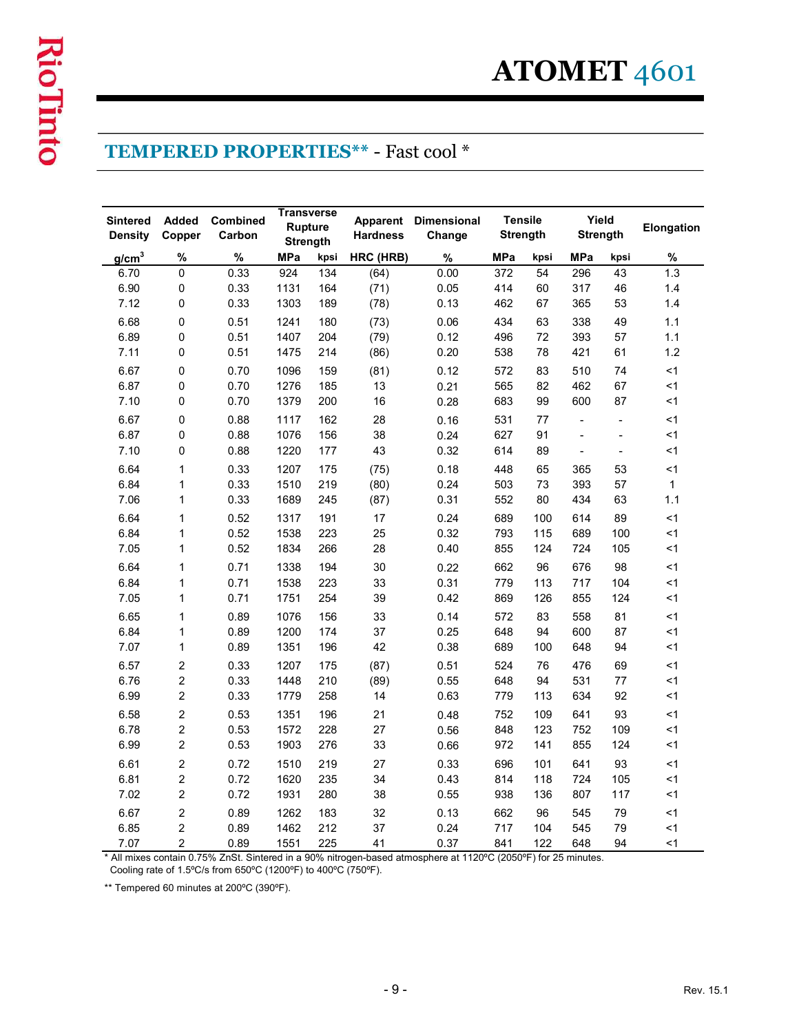|                                                                                                                |                                  |                           |              |                                   |                                            |                              |                                   |            |                                 |                      | ATOMET 4601  |
|----------------------------------------------------------------------------------------------------------------|----------------------------------|---------------------------|--------------|-----------------------------------|--------------------------------------------|------------------------------|-----------------------------------|------------|---------------------------------|----------------------|--------------|
|                                                                                                                |                                  |                           |              | <b>Transverse</b>                 | <b>TEMPERED PROPERTIES** - Fast cool *</b> |                              |                                   |            |                                 |                      |              |
| <b>Sintered</b><br><b>Density</b>                                                                              | Added<br>Copper                  | <b>Combined</b><br>Carbon |              | <b>Rupture</b><br><b>Strength</b> | <b>Apparent</b><br><b>Hardness</b>         | <b>Dimensional</b><br>Change | <b>Tensile</b><br><b>Strength</b> |            | Yield<br><b>Strength</b>        |                      | Elongation   |
| g/cm <sup>3</sup>                                                                                              | %                                | $\%$                      | <b>MPa</b>   | kpsi                              | HRC (HRB)                                  | $\%$                         | <b>MPa</b>                        | kpsi       | <b>MPa</b>                      | kpsi                 | %            |
| 6.70                                                                                                           | $\mathbf 0$                      | 0.33                      | 924          | 134                               | (64)                                       | 0.00                         | 372                               | 54         | 296                             | 43                   | 1.3          |
| 6.90<br>7.12                                                                                                   | 0<br>0                           | 0.33<br>0.33              | 1131<br>1303 | 164<br>189                        | (71)                                       | 0.05<br>0.13                 | 414<br>462                        | 60<br>67   | 317<br>365                      | 46                   | 1.4<br>1.4   |
| 6.68                                                                                                           | 0                                | 0.51                      | 1241         | 180                               | (78)                                       | 0.06                         | 434                               | 63         | 338                             | 53<br>49             | 1.1          |
| 6.89                                                                                                           | 0                                | 0.51                      | 1407         | 204                               | (73)<br>(79)                               | 0.12                         | 496                               | 72         | 393                             | 57                   | 1.1          |
| 7.11                                                                                                           | $\Omega$                         | 0.51                      | 1475         | 214                               | (86)                                       | 0.20                         | 538                               | 78         | 421                             | 61                   | 1.2          |
| 6.67                                                                                                           | 0                                | 0.70                      | 1096         | 159                               | (81)                                       | 0.12                         | 572                               | 83         | 510                             | 74                   | $<$ 1        |
| 6.87                                                                                                           | 0                                | 0.70                      | 1276         | 185                               | 13                                         | 0.21                         | 565                               | 82         | 462                             | 67                   | $<$ 1        |
| 7.10                                                                                                           | $\mathbf 0$                      | 0.70                      | 1379         | 200                               | $16\,$                                     | 0.28                         | 683                               | 99         | 600                             | 87                   | $<$ 1        |
| 6.67                                                                                                           | $\pmb{0}$                        | 0.88                      | 1117         | 162                               | 28                                         | 0.16                         | 531                               | 77         | $\blacksquare$                  | $\blacksquare$       | $<$ 1        |
| 6.87<br>7.10                                                                                                   | $\mathbf 0$<br>0                 | 0.88<br>0.88              | 1076<br>1220 | 156                               | 38                                         | 0.24                         | 627<br>614                        | 91<br>89   | $\blacksquare$                  | $\blacksquare$       | <1<br>$<$ 1  |
| 6.64                                                                                                           | $\mathbf{1}$                     | 0.33                      | 1207         | 177<br>175                        | 43<br>(75)                                 | 0.32<br>0.18                 | 448                               | 65         | $\overline{\phantom{a}}$<br>365 | $\blacksquare$<br>53 | $<$ 1        |
| 6.84                                                                                                           | $\mathbf{1}$                     | 0.33                      | 1510         | 219                               | (80)                                       | 0.24                         | 503                               | 73         | 393                             | 57                   | $\mathbf{1}$ |
| 7.06                                                                                                           | $\mathbf{1}$                     | 0.33                      | 1689         | 245                               | (87)                                       | 0.31                         | 552                               | 80         | 434                             | 63                   | 1.1          |
| 6.64                                                                                                           | $\mathbf{1}$                     | 0.52                      | 1317         | 191                               | 17                                         | 0.24                         | 689                               | 100        | 614                             | 89                   | $<$ 1        |
| 6.84                                                                                                           | $\mathbf{1}$                     | 0.52                      | 1538         | 223                               | 25                                         | 0.32                         | 793                               | 115        | 689                             | 100                  | < 1          |
| 7.05                                                                                                           | $\mathbf{1}$                     | 0.52                      | 1834         | 266                               | 28                                         | 0.40                         | 855                               | 124        | 724                             | 105                  | $<$ 1        |
| 6.64                                                                                                           | $\mathbf{1}$                     | 0.71                      | 1338         | 194                               | 30                                         | 0.22                         | 662                               | 96         | 676                             | 98                   | $<$ 1        |
| 6.84<br>7.05                                                                                                   | $\mathbf{1}$<br>$\mathbf{1}$     | 0.71<br>0.71              | 1538<br>1751 | 223<br>254                        | 33<br>39                                   | 0.31<br>0.42                 | 779<br>869                        | 113<br>126 | 717<br>855                      | 104<br>124           | <1<br>$<$ 1  |
| 6.65                                                                                                           | $\mathbf{1}$                     | 0.89                      | 1076         | 156                               | 33                                         | 0.14                         | 572                               | 83         | 558                             | 81                   | $<$ 1        |
| 6.84                                                                                                           | $\mathbf{1}$                     | 0.89                      | 1200         | 174                               | 37                                         | 0.25                         | 648                               | 94         | 600                             | 87                   | $<$ 1        |
| 7.07                                                                                                           | $\mathbf{1}$                     | 0.89                      | 1351         | 196                               | 42                                         | 0.38                         | 689                               | 100        | 648                             | 94                   | $<$ 1        |
| 6.57                                                                                                           | $\overline{c}$                   | 0.33                      | 1207         | 175                               | (87)                                       | 0.51                         | 524                               | 76         | 476                             | 69                   | $<$ 1        |
| 6.76                                                                                                           | $\overline{c}$                   | 0.33                      | 1448         | 210                               | (89)                                       | 0.55                         | 648                               | 94         | 531                             | 77                   | $<$ 1        |
| 6.99                                                                                                           | $\overline{c}$                   | 0.33                      | 1779         | 258                               | 14                                         | 0.63                         | 779                               | 113        | 634                             | 92                   | $<$ 1        |
| 6.58                                                                                                           | $\overline{c}$                   | 0.53                      | 1351         | 196                               | 21                                         | 0.48                         | 752                               | 109        | 641                             | 93                   | $<$ 1        |
| 6.78<br>6.99                                                                                                   | $\overline{c}$<br>$\overline{a}$ | 0.53<br>0.53              | 1572<br>1903 | 228<br>276                        | 27<br>33                                   | 0.56<br>0.66                 | 848<br>972                        | 123<br>141 | 752<br>855                      | 109<br>124           | < 1<br><1    |
| 6.61                                                                                                           | $\overline{a}$                   | 0.72                      | 1510         | 219                               | 27                                         | 0.33                         | 696                               | 101        | 641                             | 93                   | <1           |
| 6.81                                                                                                           | $\overline{c}$                   | 0.72                      | 1620         | 235                               | 34                                         | 0.43                         | 814                               | 118        | 724                             | 105                  | <1           |
| 7.02                                                                                                           | $\overline{c}$                   | 0.72                      | 1931         | 280                               | 38                                         | 0.55                         | 938                               | 136        | 807                             | 117                  | <1           |
| 6.67                                                                                                           | $\overline{c}$                   | 0.89                      | 1262         | 183                               | 32                                         | 0.13                         | 662                               | 96         | 545                             | 79                   | $<1\,$       |
| 6.85                                                                                                           | $\overline{2}$                   | 0.89                      | 1462         | 212                               | 37                                         | 0.24                         | 717                               | 104        | 545                             | 79                   | $<1\,$       |
| 7.07                                                                                                           | $\overline{c}$                   | 0.89                      | 1551         | 225                               | 41                                         | 0.37                         | 841                               | 122        | 648                             | 94                   | $<$ 1        |
| * All mixes contain 0.75% ZnSt. Sintered in a 90% nitrogen-based atmosphere at 1120°C (2050°F) for 25 minutes. |                                  |                           |              |                                   |                                            |                              |                                   |            |                                 |                      |              |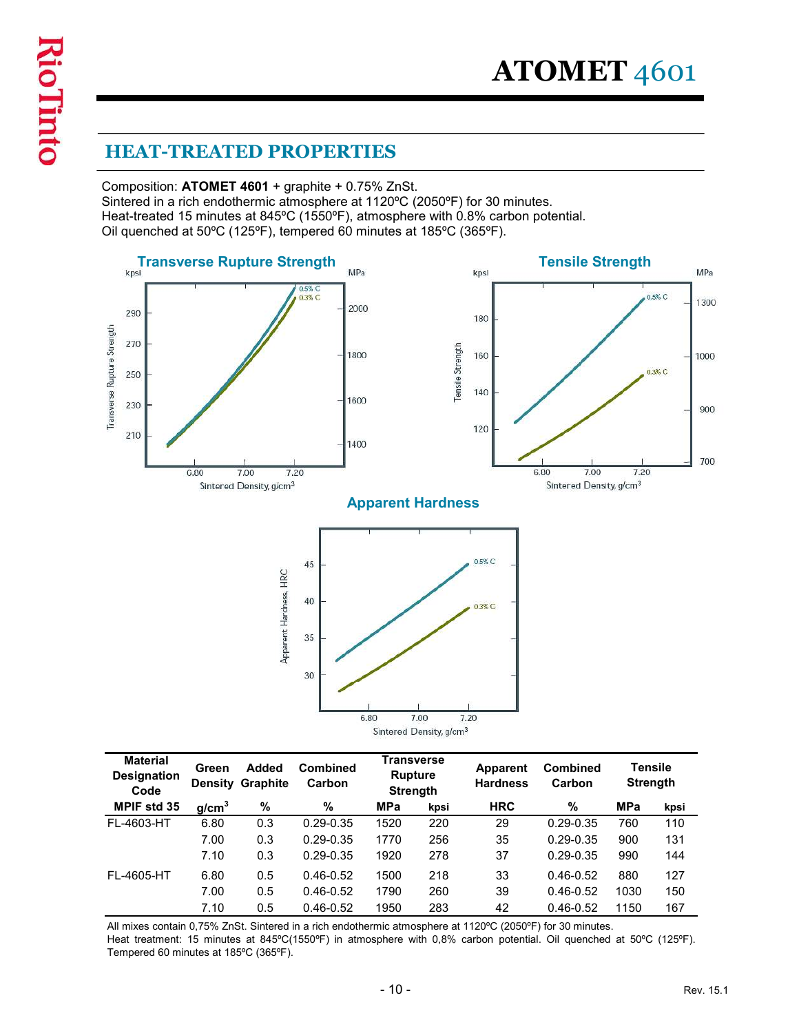Composition: ATOMET 4601 + graphite + 0.75% ZnSt.

**ATOMET** 4601<br>
HEAT-TREATED PROPERTIES<br>
Composition: ATOMET 4601 + graphite + 0.75% ZnSt.<br>
Sintered in a rich endothermic atmosphere at 1120°C (2050°F) for 30 minutes.<br>
Heat-treated 15 minutes at 845°C (1550°F), atmosphere Heat-treated 15 minutes at 845ºC (1550ºF), atmosphere with 0.8% carbon potential.



| <b>Material</b>                                                                                                                                                                                                                                                            |                   |                                  |                           | <b>Transverse</b>                 | Sintered Density, g/cm <sup>3</sup> | 7.20                        |                           |                 |                |
|----------------------------------------------------------------------------------------------------------------------------------------------------------------------------------------------------------------------------------------------------------------------------|-------------------|----------------------------------|---------------------------|-----------------------------------|-------------------------------------|-----------------------------|---------------------------|-----------------|----------------|
| <b>Designation</b><br>Code                                                                                                                                                                                                                                                 | Green             | Added<br><b>Density Graphite</b> | <b>Combined</b><br>Carbon | <b>Rupture</b><br><b>Strength</b> |                                     | Apparent<br><b>Hardness</b> | <b>Combined</b><br>Carbon | <b>Strength</b> | <b>Tensile</b> |
| MPIF std 35                                                                                                                                                                                                                                                                | g/cm <sup>3</sup> | %                                | $\%$                      | <b>MPa</b>                        | kpsi                                | <b>HRC</b>                  | %                         | <b>MPa</b>      | kpsi           |
| FL-4603-HT                                                                                                                                                                                                                                                                 | 6.80              | 0.3                              | $0.29 - 0.35$             | 1520                              | 220                                 | 29                          | $0.29 - 0.35$             | 760             | 110            |
|                                                                                                                                                                                                                                                                            | 7.00              | 0.3                              | $0.29 - 0.35$             | 1770                              | 256                                 | 35                          | $0.29 - 0.35$             | 900             | 131            |
|                                                                                                                                                                                                                                                                            | 7.10              | 0.3                              | $0.29 - 0.35$             | 1920                              | 278                                 | 37                          | $0.29 - 0.35$             | 990             | 144            |
| FL-4605-HT                                                                                                                                                                                                                                                                 | 6.80              | 0.5                              | $0.46 - 0.52$             | 1500                              | 218                                 | 33                          | $0.46 - 0.52$             | 880             | 127            |
|                                                                                                                                                                                                                                                                            | 7.00              | 0.5                              | $0.46 - 0.52$             | 1790                              | 260                                 | 39                          | $0.46 - 0.52$             | 1030            | 150            |
|                                                                                                                                                                                                                                                                            | 7.10              | 0.5                              | $0.46 - 0.52$             | 1950                              | 283                                 | 42                          | $0.46 - 0.52$             | 1150            | 167            |
| All mixes contain 0,75% ZnSt. Sintered in a rich endothermic atmosphere at 1120°C (2050°F) for 30 minutes.<br>Heat treatment: 15 minutes at 845°C(1550°F) in atmosphere with 0,8% carbon potential. Oil quenched at 50°C (125°F).<br>Tempered 60 minutes at 185°C (365°F). |                   |                                  |                           |                                   |                                     |                             |                           |                 |                |
|                                                                                                                                                                                                                                                                            |                   |                                  |                           | $-10-$                            |                                     |                             |                           |                 | Rev. 15.1      |